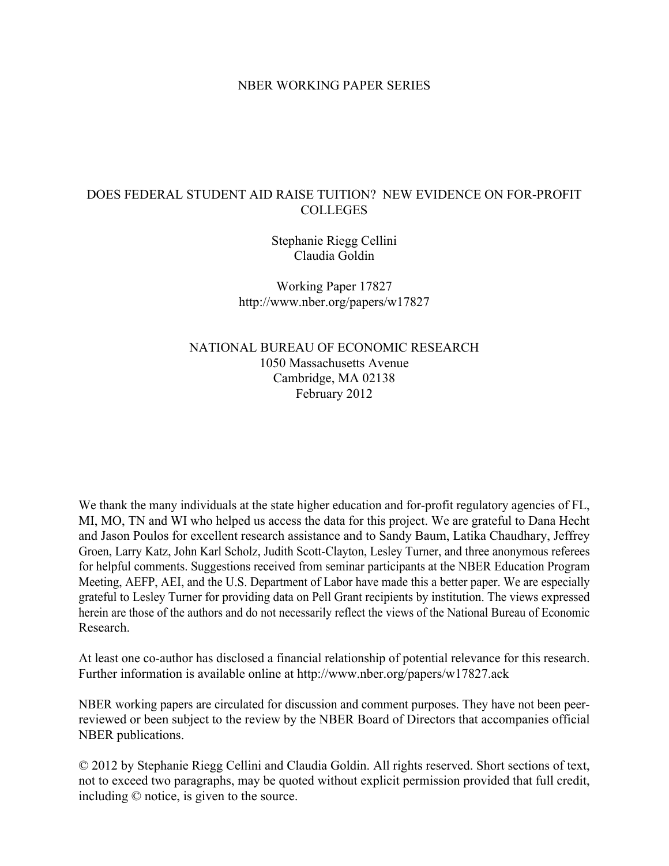# NBER WORKING PAPER SERIES

# DOES FEDERAL STUDENT AID RAISE TUITION? NEW EVIDENCE ON FOR-PROFIT COLLEGES

Stephanie Riegg Cellini Claudia Goldin

Working Paper 17827 http://www.nber.org/papers/w17827

NATIONAL BUREAU OF ECONOMIC RESEARCH 1050 Massachusetts Avenue Cambridge, MA 02138 February 2012

We thank the many individuals at the state higher education and for-profit regulatory agencies of FL, MI, MO, TN and WI who helped us access the data for this project. We are grateful to Dana Hecht and Jason Poulos for excellent research assistance and to Sandy Baum, Latika Chaudhary, Jeffrey Groen, Larry Katz, John Karl Scholz, Judith Scott-Clayton, Lesley Turner, and three anonymous referees for helpful comments. Suggestions received from seminar participants at the NBER Education Program Meeting, AEFP, AEI, and the U.S. Department of Labor have made this a better paper. We are especially grateful to Lesley Turner for providing data on Pell Grant recipients by institution. The views expressed herein are those of the authors and do not necessarily reflect the views of the National Bureau of Economic Research.

At least one co-author has disclosed a financial relationship of potential relevance for this research. Further information is available online at http://www.nber.org/papers/w17827.ack

NBER working papers are circulated for discussion and comment purposes. They have not been peerreviewed or been subject to the review by the NBER Board of Directors that accompanies official NBER publications.

© 2012 by Stephanie Riegg Cellini and Claudia Goldin. All rights reserved. Short sections of text, not to exceed two paragraphs, may be quoted without explicit permission provided that full credit, including © notice, is given to the source.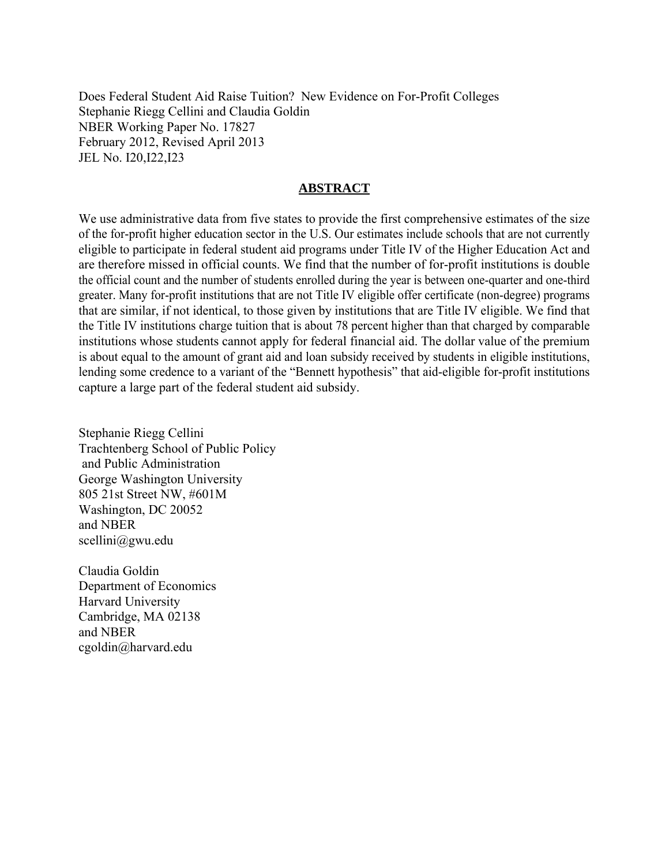Does Federal Student Aid Raise Tuition? New Evidence on For-Profit Colleges Stephanie Riegg Cellini and Claudia Goldin NBER Working Paper No. 17827 February 2012, Revised April 2013 JEL No. I20,I22,I23

# **ABSTRACT**

We use administrative data from five states to provide the first comprehensive estimates of the size of the for-profit higher education sector in the U.S. Our estimates include schools that are not currently eligible to participate in federal student aid programs under Title IV of the Higher Education Act and are therefore missed in official counts. We find that the number of for-profit institutions is double the official count and the number of students enrolled during the year is between one-quarter and one-third greater. Many for-profit institutions that are not Title IV eligible offer certificate (non-degree) programs that are similar, if not identical, to those given by institutions that are Title IV eligible. We find that the Title IV institutions charge tuition that is about 78 percent higher than that charged by comparable institutions whose students cannot apply for federal financial aid. The dollar value of the premium is about equal to the amount of grant aid and loan subsidy received by students in eligible institutions, lending some credence to a variant of the "Bennett hypothesis" that aid-eligible for-profit institutions capture a large part of the federal student aid subsidy.

Stephanie Riegg Cellini Trachtenberg School of Public Policy and Public Administration George Washington University 805 21st Street NW, #601M Washington, DC 20052 and NBER scellini@gwu.edu

Claudia Goldin Department of Economics Harvard University Cambridge, MA 02138 and NBER cgoldin@harvard.edu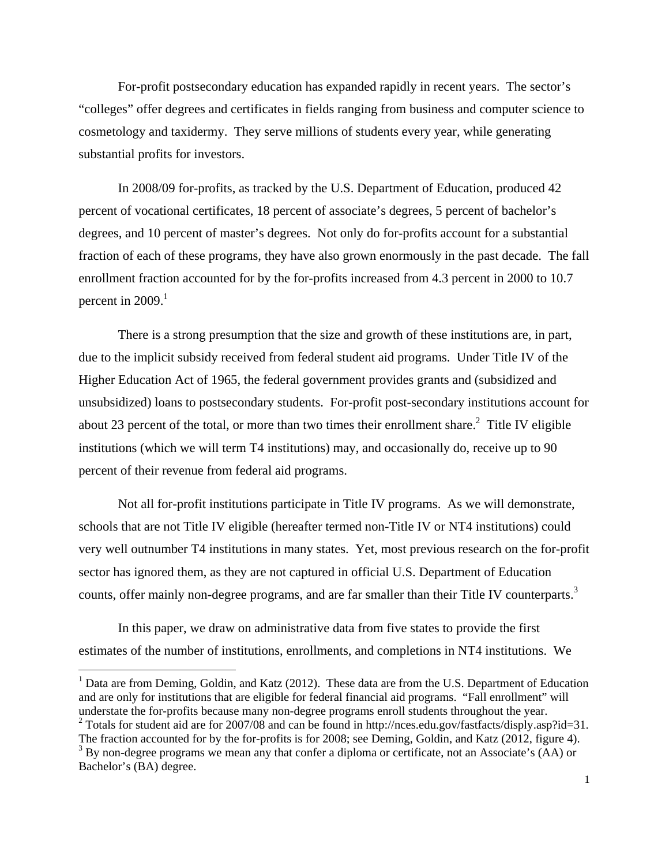For-profit postsecondary education has expanded rapidly in recent years. The sector's "colleges" offer degrees and certificates in fields ranging from business and computer science to cosmetology and taxidermy. They serve millions of students every year, while generating substantial profits for investors.

In 2008/09 for-profits, as tracked by the U.S. Department of Education, produced 42 percent of vocational certificates, 18 percent of associate's degrees, 5 percent of bachelor's degrees, and 10 percent of master's degrees. Not only do for-profits account for a substantial fraction of each of these programs, they have also grown enormously in the past decade. The fall enrollment fraction accounted for by the for-profits increased from 4.3 percent in 2000 to 10.7 percent in  $2009$ <sup>1</sup>

 There is a strong presumption that the size and growth of these institutions are, in part, due to the implicit subsidy received from federal student aid programs. Under Title IV of the Higher Education Act of 1965, the federal government provides grants and (subsidized and unsubsidized) loans to postsecondary students. For-profit post-secondary institutions account for about 23 percent of the total, or more than two times their enrollment share.<sup>2</sup> Title IV eligible institutions (which we will term T4 institutions) may, and occasionally do, receive up to 90 percent of their revenue from federal aid programs.

 Not all for-profit institutions participate in Title IV programs. As we will demonstrate, schools that are not Title IV eligible (hereafter termed non-Title IV or NT4 institutions) could very well outnumber T4 institutions in many states. Yet, most previous research on the for-profit sector has ignored them, as they are not captured in official U.S. Department of Education counts, offer mainly non-degree programs, and are far smaller than their Title IV counterparts.<sup>3</sup>

In this paper, we draw on administrative data from five states to provide the first estimates of the number of institutions, enrollments, and completions in NT4 institutions. We

1

<sup>1</sup> Data are from Deming, Goldin, and Katz (2012). These data are from the U.S. Department of Education and are only for institutions that are eligible for federal financial aid programs. "Fall enrollment" will understate the for-profits because many non-degree programs enroll students throughout the year. <sup>2</sup> Totals for student aid are for 2007/08 and can be found in http://nces.edu.gov/fastfacts/disply.asp?id=31. The fraction accounted for by the for-profits is for 2008; see Deming, Goldin, and Katz (2012, figure 4).

 $3$  By non-degree programs we mean any that confer a diploma or certificate, not an Associate's (AA) or Bachelor's (BA) degree.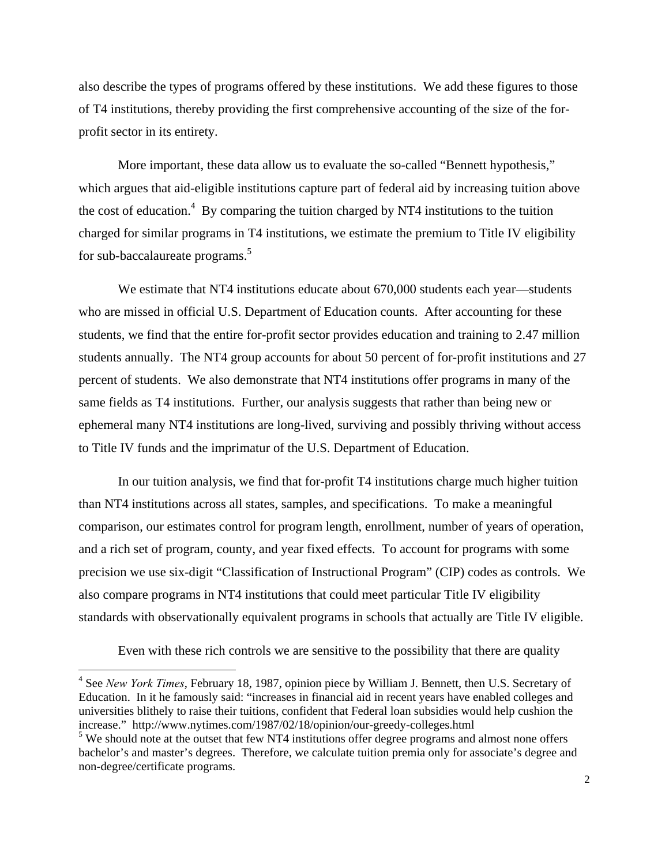also describe the types of programs offered by these institutions. We add these figures to those of T4 institutions, thereby providing the first comprehensive accounting of the size of the forprofit sector in its entirety.

More important, these data allow us to evaluate the so-called "Bennett hypothesis," which argues that aid-eligible institutions capture part of federal aid by increasing tuition above the cost of education.<sup>4</sup> By comparing the tuition charged by NT4 institutions to the tuition charged for similar programs in T4 institutions, we estimate the premium to Title IV eligibility for sub-baccalaureate programs.<sup>5</sup>

We estimate that NT4 institutions educate about 670,000 students each year—students who are missed in official U.S. Department of Education counts. After accounting for these students, we find that the entire for-profit sector provides education and training to 2.47 million students annually. The NT4 group accounts for about 50 percent of for-profit institutions and 27 percent of students. We also demonstrate that NT4 institutions offer programs in many of the same fields as T4 institutions. Further, our analysis suggests that rather than being new or ephemeral many NT4 institutions are long-lived, surviving and possibly thriving without access to Title IV funds and the imprimatur of the U.S. Department of Education.

In our tuition analysis, we find that for-profit T4 institutions charge much higher tuition than NT4 institutions across all states, samples, and specifications. To make a meaningful comparison, our estimates control for program length, enrollment, number of years of operation, and a rich set of program, county, and year fixed effects. To account for programs with some precision we use six-digit "Classification of Instructional Program" (CIP) codes as controls. We also compare programs in NT4 institutions that could meet particular Title IV eligibility standards with observationally equivalent programs in schools that actually are Title IV eligible.

Even with these rich controls we are sensitive to the possibility that there are quality

<sup>4</sup> See *New York Times*, February 18, 1987, opinion piece by William J. Bennett, then U.S. Secretary of Education. In it he famously said: "increases in financial aid in recent years have enabled colleges and universities blithely to raise their tuitions, confident that Federal loan subsidies would help cushion the increase." http://www.nytimes.com/1987/02/18/opinion/our-greedy-colleges.html

<sup>&</sup>lt;sup>5</sup> We should note at the outset that few NT4 institutions offer degree programs and almost none offers bachelor's and master's degrees. Therefore, we calculate tuition premia only for associate's degree and non-degree/certificate programs.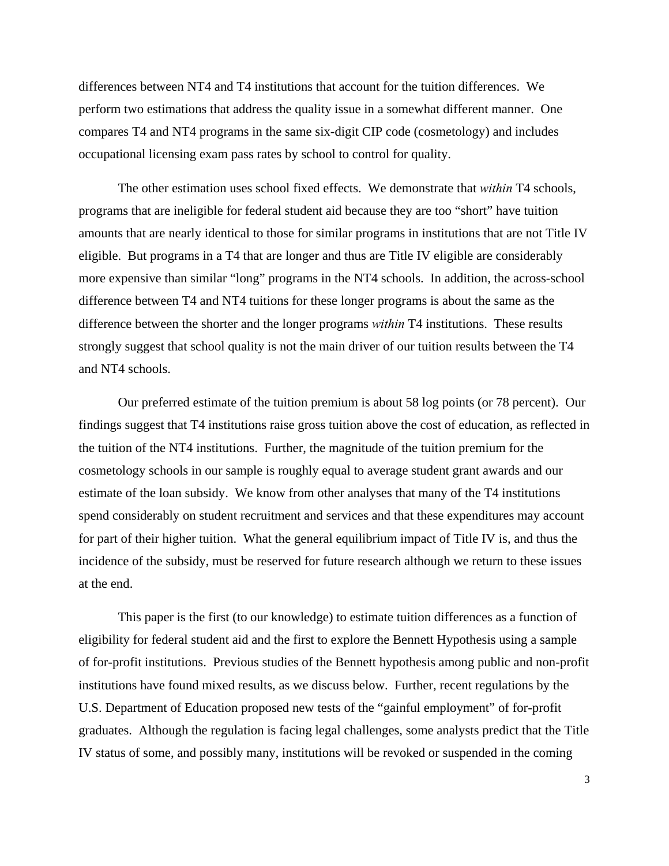differences between NT4 and T4 institutions that account for the tuition differences. We perform two estimations that address the quality issue in a somewhat different manner. One compares T4 and NT4 programs in the same six-digit CIP code (cosmetology) and includes occupational licensing exam pass rates by school to control for quality.

The other estimation uses school fixed effects. We demonstrate that *within* T4 schools, programs that are ineligible for federal student aid because they are too "short" have tuition amounts that are nearly identical to those for similar programs in institutions that are not Title IV eligible. But programs in a T4 that are longer and thus are Title IV eligible are considerably more expensive than similar "long" programs in the NT4 schools. In addition, the across-school difference between T4 and NT4 tuitions for these longer programs is about the same as the difference between the shorter and the longer programs *within* T4 institutions. These results strongly suggest that school quality is not the main driver of our tuition results between the T4 and NT4 schools.

Our preferred estimate of the tuition premium is about 58 log points (or 78 percent). Our findings suggest that T4 institutions raise gross tuition above the cost of education, as reflected in the tuition of the NT4 institutions. Further, the magnitude of the tuition premium for the cosmetology schools in our sample is roughly equal to average student grant awards and our estimate of the loan subsidy. We know from other analyses that many of the T4 institutions spend considerably on student recruitment and services and that these expenditures may account for part of their higher tuition. What the general equilibrium impact of Title IV is, and thus the incidence of the subsidy, must be reserved for future research although we return to these issues at the end.

This paper is the first (to our knowledge) to estimate tuition differences as a function of eligibility for federal student aid and the first to explore the Bennett Hypothesis using a sample of for-profit institutions. Previous studies of the Bennett hypothesis among public and non-profit institutions have found mixed results, as we discuss below. Further, recent regulations by the U.S. Department of Education proposed new tests of the "gainful employment" of for-profit graduates. Although the regulation is facing legal challenges, some analysts predict that the Title IV status of some, and possibly many, institutions will be revoked or suspended in the coming

3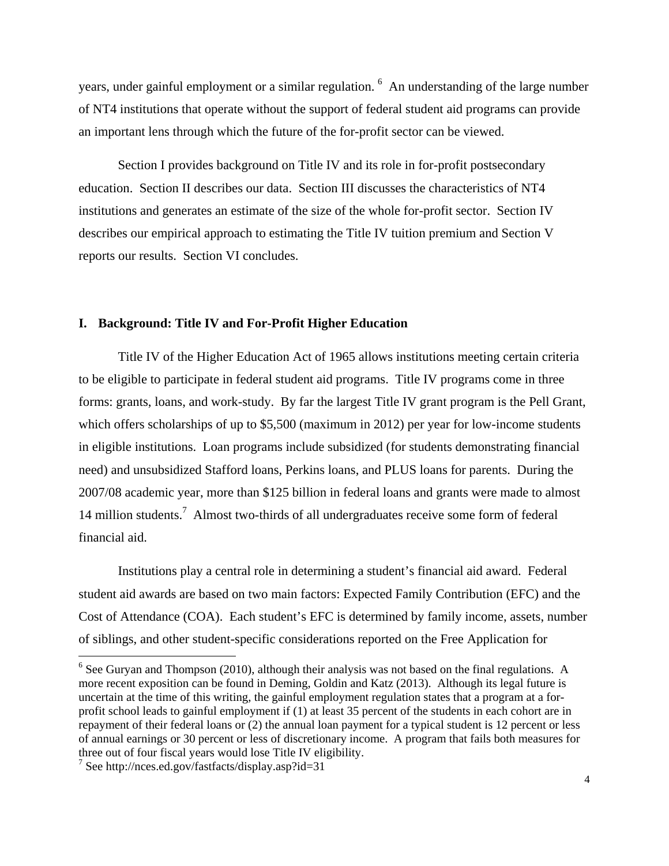years, under gainful employment or a similar regulation. <sup>6</sup> An understanding of the large number of NT4 institutions that operate without the support of federal student aid programs can provide an important lens through which the future of the for-profit sector can be viewed.

Section I provides background on Title IV and its role in for-profit postsecondary education. Section II describes our data. Section III discusses the characteristics of NT4 institutions and generates an estimate of the size of the whole for-profit sector. Section IV describes our empirical approach to estimating the Title IV tuition premium and Section V reports our results. Section VI concludes.

#### **I. Background: Title IV and For-Profit Higher Education**

Title IV of the Higher Education Act of 1965 allows institutions meeting certain criteria to be eligible to participate in federal student aid programs. Title IV programs come in three forms: grants, loans, and work-study. By far the largest Title IV grant program is the Pell Grant, which offers scholarships of up to \$5,500 (maximum in 2012) per year for low-income students in eligible institutions. Loan programs include subsidized (for students demonstrating financial need) and unsubsidized Stafford loans, Perkins loans, and PLUS loans for parents. During the 2007/08 academic year, more than \$125 billion in federal loans and grants were made to almost 14 million students.<sup>7</sup> Almost two-thirds of all undergraduates receive some form of federal financial aid.

Institutions play a central role in determining a student's financial aid award. Federal student aid awards are based on two main factors: Expected Family Contribution (EFC) and the Cost of Attendance (COA). Each student's EFC is determined by family income, assets, number of siblings, and other student-specific considerations reported on the Free Application for

 $<sup>6</sup>$  See Guryan and Thompson (2010), although their analysis was not based on the final regulations. A</sup> more recent exposition can be found in Deming, Goldin and Katz (2013). Although its legal future is uncertain at the time of this writing, the gainful employment regulation states that a program at a forprofit school leads to gainful employment if (1) at least 35 percent of the students in each cohort are in repayment of their federal loans or (2) the annual loan payment for a typical student is 12 percent or less of annual earnings or 30 percent or less of discretionary income. A program that fails both measures for three out of four fiscal years would lose Title IV eligibility.

<sup>7</sup> See http://nces.ed.gov/fastfacts/display.asp?id=31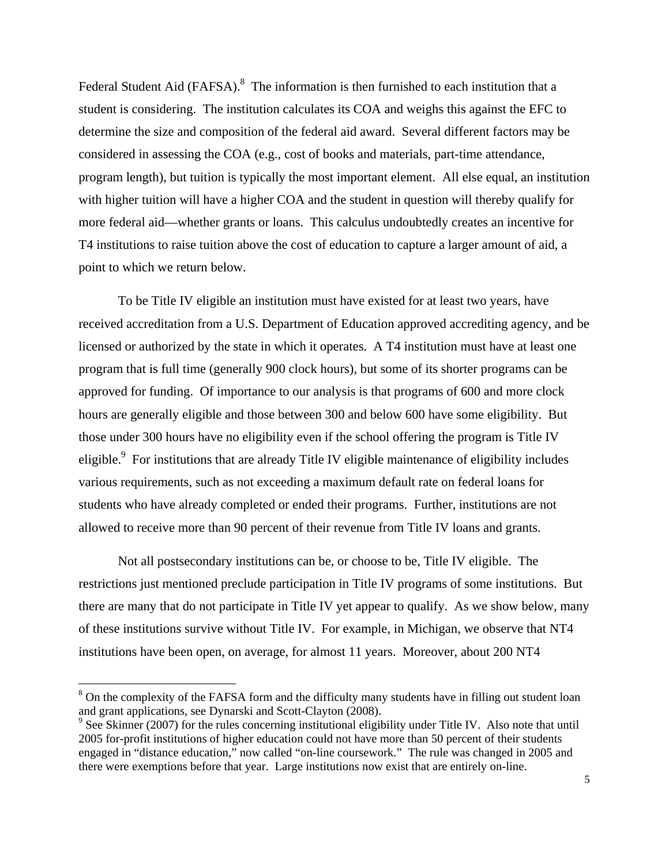Federal Student Aid (FAFSA).<sup>8</sup> The information is then furnished to each institution that a student is considering. The institution calculates its COA and weighs this against the EFC to determine the size and composition of the federal aid award. Several different factors may be considered in assessing the COA (e.g., cost of books and materials, part-time attendance, program length), but tuition is typically the most important element. All else equal, an institution with higher tuition will have a higher COA and the student in question will thereby qualify for more federal aid—whether grants or loans. This calculus undoubtedly creates an incentive for T4 institutions to raise tuition above the cost of education to capture a larger amount of aid, a point to which we return below.

To be Title IV eligible an institution must have existed for at least two years, have received accreditation from a U.S. Department of Education approved accrediting agency, and be licensed or authorized by the state in which it operates. A T4 institution must have at least one program that is full time (generally 900 clock hours), but some of its shorter programs can be approved for funding. Of importance to our analysis is that programs of 600 and more clock hours are generally eligible and those between 300 and below 600 have some eligibility. But those under 300 hours have no eligibility even if the school offering the program is Title IV eligible.<sup>9</sup> For institutions that are already Title IV eligible maintenance of eligibility includes various requirements, such as not exceeding a maximum default rate on federal loans for students who have already completed or ended their programs. Further, institutions are not allowed to receive more than 90 percent of their revenue from Title IV loans and grants.

Not all postsecondary institutions can be, or choose to be, Title IV eligible. The restrictions just mentioned preclude participation in Title IV programs of some institutions. But there are many that do not participate in Title IV yet appear to qualify. As we show below, many of these institutions survive without Title IV. For example, in Michigan, we observe that NT4 institutions have been open, on average, for almost 11 years. Moreover, about 200 NT4

1

<sup>&</sup>lt;sup>8</sup> On the complexity of the FAFSA form and the difficulty many students have in filling out student loan and grant applications, see Dynarski and Scott-Clayton (2008).

<sup>&</sup>lt;sup>9</sup> See Skinner (2007) for the rules concerning institutional eligibility under Title IV. Also note that until 2005 for-profit institutions of higher education could not have more than 50 percent of their students engaged in "distance education," now called "on-line coursework." The rule was changed in 2005 and there were exemptions before that year. Large institutions now exist that are entirely on-line.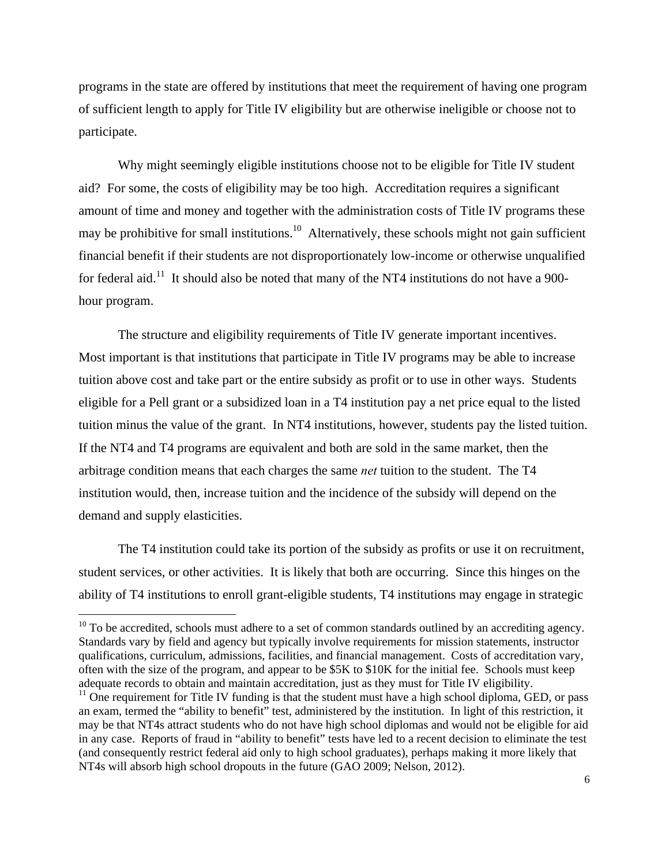programs in the state are offered by institutions that meet the requirement of having one program of sufficient length to apply for Title IV eligibility but are otherwise ineligible or choose not to participate.

Why might seemingly eligible institutions choose not to be eligible for Title IV student aid? For some, the costs of eligibility may be too high. Accreditation requires a significant amount of time and money and together with the administration costs of Title IV programs these may be prohibitive for small institutions.<sup>10</sup> Alternatively, these schools might not gain sufficient financial benefit if their students are not disproportionately low-income or otherwise unqualified for federal aid.<sup>11</sup> It should also be noted that many of the NT4 institutions do not have a 900hour program.

The structure and eligibility requirements of Title IV generate important incentives. Most important is that institutions that participate in Title IV programs may be able to increase tuition above cost and take part or the entire subsidy as profit or to use in other ways. Students eligible for a Pell grant or a subsidized loan in a T4 institution pay a net price equal to the listed tuition minus the value of the grant. In NT4 institutions, however, students pay the listed tuition. If the NT4 and T4 programs are equivalent and both are sold in the same market, then the arbitrage condition means that each charges the same *net* tuition to the student. The T4 institution would, then, increase tuition and the incidence of the subsidy will depend on the demand and supply elasticities.

The T4 institution could take its portion of the subsidy as profits or use it on recruitment, student services, or other activities. It is likely that both are occurring. Since this hinges on the ability of T4 institutions to enroll grant-eligible students, T4 institutions may engage in strategic

 $10$  To be accredited, schools must adhere to a set of common standards outlined by an accrediting agency. Standards vary by field and agency but typically involve requirements for mission statements, instructor qualifications, curriculum, admissions, facilities, and financial management. Costs of accreditation vary, often with the size of the program, and appear to be \$5K to \$10K for the initial fee. Schools must keep adequate records to obtain and maintain accreditation, just as they must for Title IV eligibility.

 $11$  One requirement for Title IV funding is that the student must have a high school diploma, GED, or pass an exam, termed the "ability to benefit" test, administered by the institution. In light of this restriction, it may be that NT4s attract students who do not have high school diplomas and would not be eligible for aid in any case. Reports of fraud in "ability to benefit" tests have led to a recent decision to eliminate the test (and consequently restrict federal aid only to high school graduates), perhaps making it more likely that NT4s will absorb high school dropouts in the future (GAO 2009; Nelson, 2012).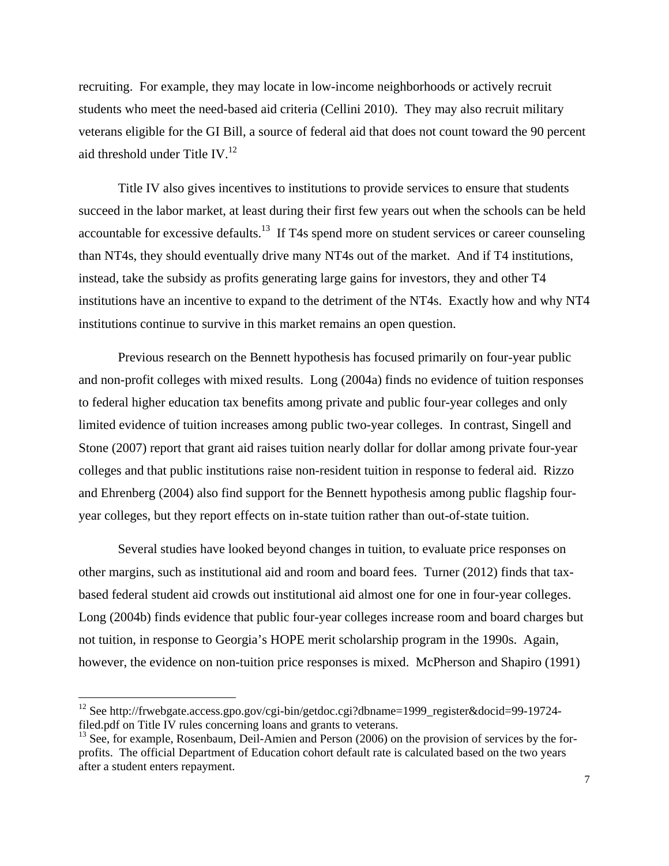recruiting. For example, they may locate in low-income neighborhoods or actively recruit students who meet the need-based aid criteria (Cellini 2010). They may also recruit military veterans eligible for the GI Bill, a source of federal aid that does not count toward the 90 percent aid threshold under Title IV. $^{12}$ 

Title IV also gives incentives to institutions to provide services to ensure that students succeed in the labor market, at least during their first few years out when the schools can be held accountable for excessive defaults.<sup>13</sup> If T4s spend more on student services or career counseling than NT4s, they should eventually drive many NT4s out of the market. And if T4 institutions, instead, take the subsidy as profits generating large gains for investors, they and other T4 institutions have an incentive to expand to the detriment of the NT4s. Exactly how and why NT4 institutions continue to survive in this market remains an open question.

Previous research on the Bennett hypothesis has focused primarily on four-year public and non-profit colleges with mixed results. Long (2004a) finds no evidence of tuition responses to federal higher education tax benefits among private and public four-year colleges and only limited evidence of tuition increases among public two-year colleges. In contrast, Singell and Stone (2007) report that grant aid raises tuition nearly dollar for dollar among private four-year colleges and that public institutions raise non-resident tuition in response to federal aid. Rizzo and Ehrenberg (2004) also find support for the Bennett hypothesis among public flagship fouryear colleges, but they report effects on in-state tuition rather than out-of-state tuition.

Several studies have looked beyond changes in tuition, to evaluate price responses on other margins, such as institutional aid and room and board fees. Turner (2012) finds that taxbased federal student aid crowds out institutional aid almost one for one in four-year colleges. Long (2004b) finds evidence that public four-year colleges increase room and board charges but not tuition, in response to Georgia's HOPE merit scholarship program in the 1990s. Again, however, the evidence on non-tuition price responses is mixed. McPherson and Shapiro (1991)

<sup>&</sup>lt;sup>12</sup> See http://frwebgate.access.gpo.gov/cgi-bin/getdoc.cgi?dbname=1999\_register&docid=99-19724filed.pdf on Title IV rules concerning loans and grants to veterans.

 $<sup>13</sup>$  See, for example, Rosenbaum, Deil-Amien and Person (2006) on the provision of services by the for-</sup> profits. The official Department of Education cohort default rate is calculated based on the two years after a student enters repayment.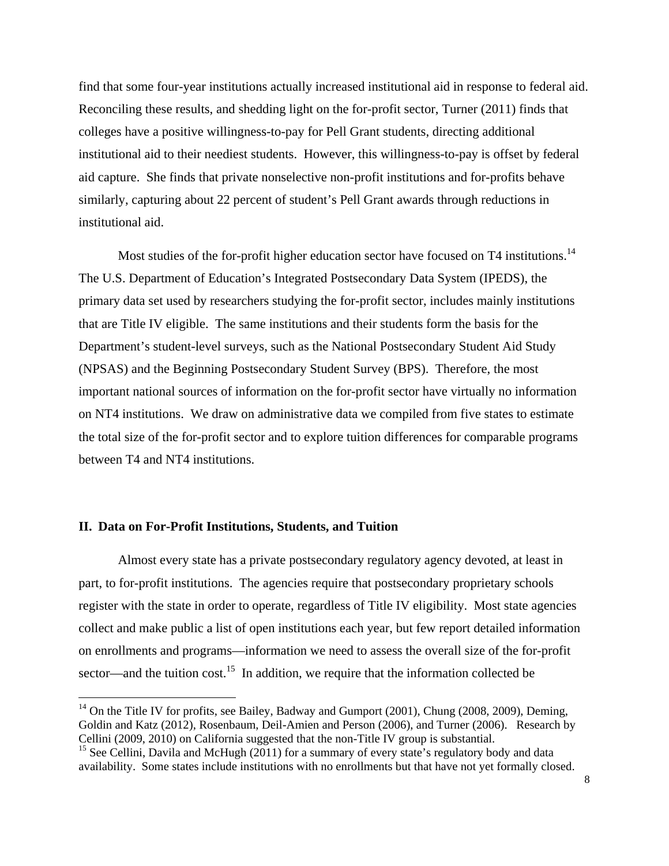find that some four-year institutions actually increased institutional aid in response to federal aid. Reconciling these results, and shedding light on the for-profit sector, Turner (2011) finds that colleges have a positive willingness-to-pay for Pell Grant students, directing additional institutional aid to their neediest students. However, this willingness-to-pay is offset by federal aid capture. She finds that private nonselective non-profit institutions and for-profits behave similarly, capturing about 22 percent of student's Pell Grant awards through reductions in institutional aid.

Most studies of the for-profit higher education sector have focused on T4 institutions.<sup>14</sup> The U.S. Department of Education's Integrated Postsecondary Data System (IPEDS), the primary data set used by researchers studying the for-profit sector, includes mainly institutions that are Title IV eligible. The same institutions and their students form the basis for the Department's student-level surveys, such as the National Postsecondary Student Aid Study (NPSAS) and the Beginning Postsecondary Student Survey (BPS). Therefore, the most important national sources of information on the for-profit sector have virtually no information on NT4 institutions. We draw on administrative data we compiled from five states to estimate the total size of the for-profit sector and to explore tuition differences for comparable programs between T4 and NT4 institutions.

## **II. Data on For-Profit Institutions, Students, and Tuition**

 $\overline{a}$ 

Almost every state has a private postsecondary regulatory agency devoted, at least in part, to for-profit institutions. The agencies require that postsecondary proprietary schools register with the state in order to operate, regardless of Title IV eligibility. Most state agencies collect and make public a list of open institutions each year, but few report detailed information on enrollments and programs—information we need to assess the overall size of the for-profit sector—and the tuition cost.<sup>15</sup> In addition, we require that the information collected be

 $14$  On the Title IV for profits, see Bailey, Badway and Gumport (2001), Chung (2008, 2009), Deming, Goldin and Katz (2012), Rosenbaum, Deil-Amien and Person (2006), and Turner (2006). Research by Cellini (2009, 2010) on California suggested that the non-Title IV group is substantial.

<sup>&</sup>lt;sup>15</sup> See Cellini, Davila and McHugh (2011) for a summary of every state's regulatory body and data availability. Some states include institutions with no enrollments but that have not yet formally closed.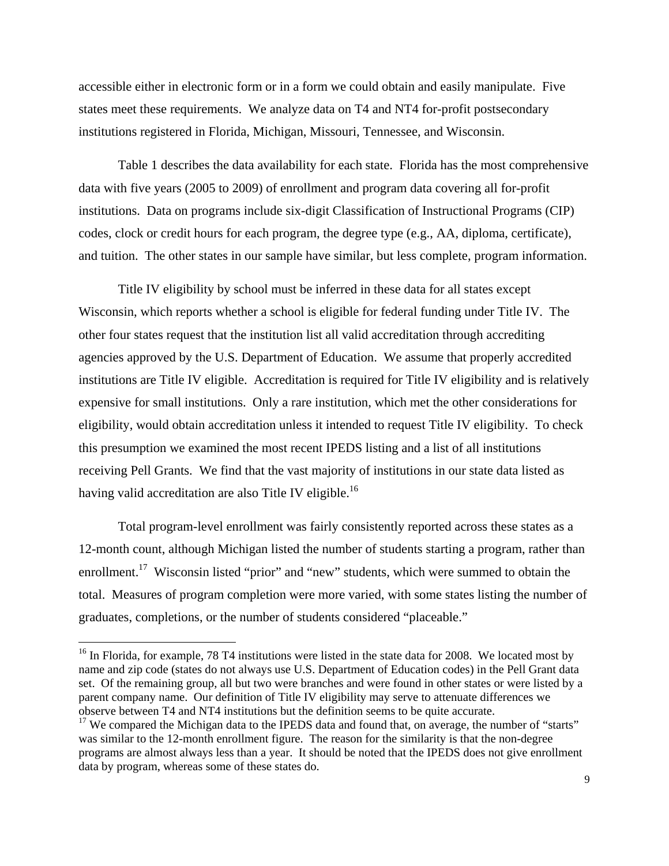accessible either in electronic form or in a form we could obtain and easily manipulate. Five states meet these requirements. We analyze data on T4 and NT4 for-profit postsecondary institutions registered in Florida, Michigan, Missouri, Tennessee, and Wisconsin.

Table 1 describes the data availability for each state. Florida has the most comprehensive data with five years (2005 to 2009) of enrollment and program data covering all for-profit institutions. Data on programs include six-digit Classification of Instructional Programs (CIP) codes, clock or credit hours for each program, the degree type (e.g., AA, diploma, certificate), and tuition. The other states in our sample have similar, but less complete, program information.

Title IV eligibility by school must be inferred in these data for all states except Wisconsin, which reports whether a school is eligible for federal funding under Title IV. The other four states request that the institution list all valid accreditation through accrediting agencies approved by the U.S. Department of Education. We assume that properly accredited institutions are Title IV eligible. Accreditation is required for Title IV eligibility and is relatively expensive for small institutions. Only a rare institution, which met the other considerations for eligibility, would obtain accreditation unless it intended to request Title IV eligibility. To check this presumption we examined the most recent IPEDS listing and a list of all institutions receiving Pell Grants. We find that the vast majority of institutions in our state data listed as having valid accreditation are also Title IV eligible.<sup>16</sup>

Total program-level enrollment was fairly consistently reported across these states as a 12-month count, although Michigan listed the number of students starting a program, rather than enrollment.<sup>17</sup> Wisconsin listed "prior" and "new" students, which were summed to obtain the total. Measures of program completion were more varied, with some states listing the number of graduates, completions, or the number of students considered "placeable."

 $16$  In Florida, for example, 78 T4 institutions were listed in the state data for 2008. We located most by name and zip code (states do not always use U.S. Department of Education codes) in the Pell Grant data set. Of the remaining group, all but two were branches and were found in other states or were listed by a parent company name. Our definition of Title IV eligibility may serve to attenuate differences we observe between T4 and NT4 institutions but the definition seems to be quite accurate.

<sup>&</sup>lt;sup>17</sup> We compared the Michigan data to the IPEDS data and found that, on average, the number of "starts" was similar to the 12-month enrollment figure. The reason for the similarity is that the non-degree programs are almost always less than a year. It should be noted that the IPEDS does not give enrollment data by program, whereas some of these states do.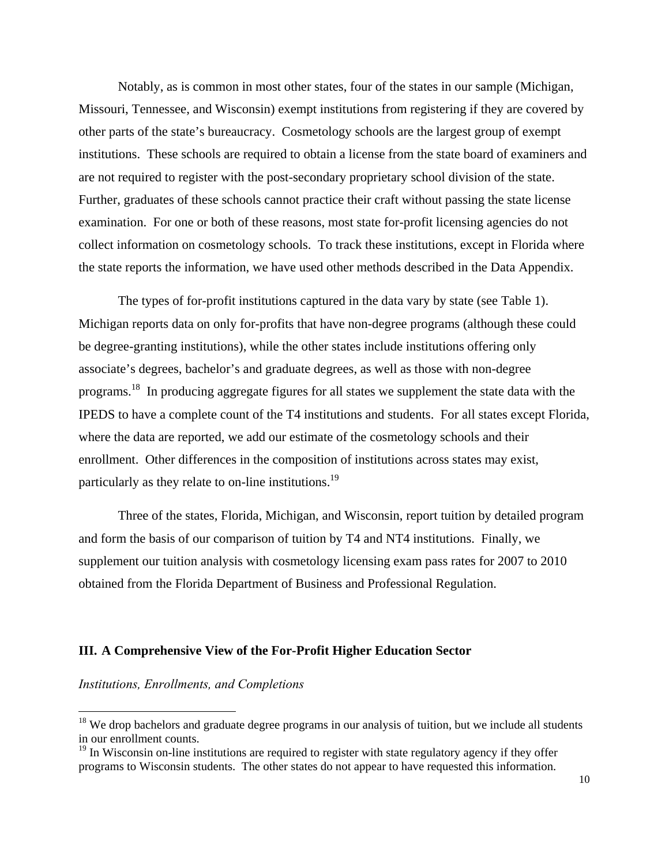Notably, as is common in most other states, four of the states in our sample (Michigan, Missouri, Tennessee, and Wisconsin) exempt institutions from registering if they are covered by other parts of the state's bureaucracy. Cosmetology schools are the largest group of exempt institutions. These schools are required to obtain a license from the state board of examiners and are not required to register with the post-secondary proprietary school division of the state. Further, graduates of these schools cannot practice their craft without passing the state license examination. For one or both of these reasons, most state for-profit licensing agencies do not collect information on cosmetology schools. To track these institutions, except in Florida where the state reports the information, we have used other methods described in the Data Appendix.

The types of for-profit institutions captured in the data vary by state (see Table 1). Michigan reports data on only for-profits that have non-degree programs (although these could be degree-granting institutions), while the other states include institutions offering only associate's degrees, bachelor's and graduate degrees, as well as those with non-degree programs.18 In producing aggregate figures for all states we supplement the state data with the IPEDS to have a complete count of the T4 institutions and students. For all states except Florida, where the data are reported, we add our estimate of the cosmetology schools and their enrollment. Other differences in the composition of institutions across states may exist, particularly as they relate to on-line institutions.<sup>19</sup>

Three of the states, Florida, Michigan, and Wisconsin, report tuition by detailed program and form the basis of our comparison of tuition by T4 and NT4 institutions. Finally, we supplement our tuition analysis with cosmetology licensing exam pass rates for 2007 to 2010 obtained from the Florida Department of Business and Professional Regulation.

### **III. A Comprehensive View of the For-Profit Higher Education Sector**

*Institutions, Enrollments, and Completions*

<sup>&</sup>lt;sup>18</sup> We drop bachelors and graduate degree programs in our analysis of tuition, but we include all students in our enrollment counts.

 $19$  In Wisconsin on-line institutions are required to register with state regulatory agency if they offer programs to Wisconsin students. The other states do not appear to have requested this information.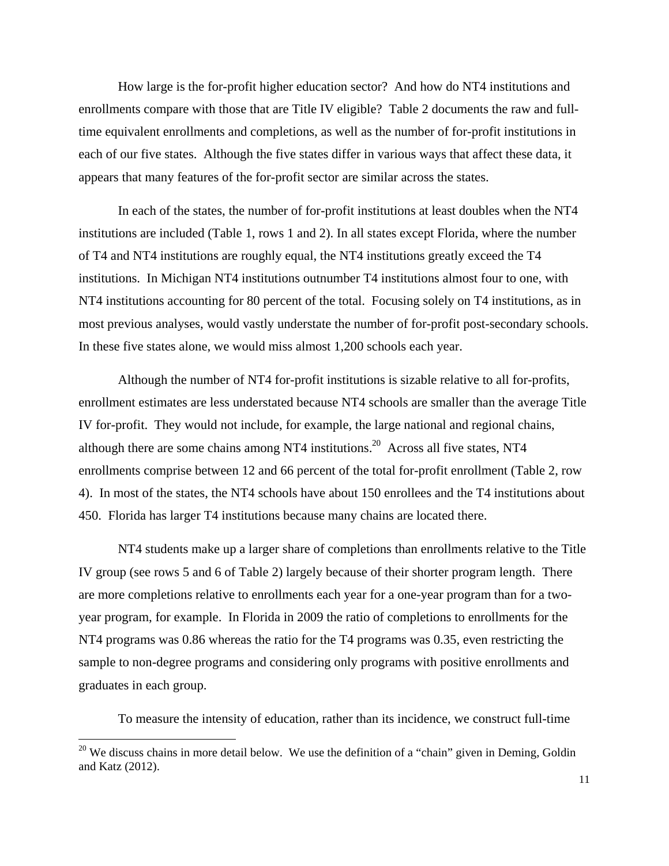How large is the for-profit higher education sector? And how do NT4 institutions and enrollments compare with those that are Title IV eligible? Table 2 documents the raw and fulltime equivalent enrollments and completions, as well as the number of for-profit institutions in each of our five states. Although the five states differ in various ways that affect these data, it appears that many features of the for-profit sector are similar across the states.

In each of the states, the number of for-profit institutions at least doubles when the NT4 institutions are included (Table 1, rows 1 and 2). In all states except Florida, where the number of T4 and NT4 institutions are roughly equal, the NT4 institutions greatly exceed the T4 institutions. In Michigan NT4 institutions outnumber T4 institutions almost four to one, with NT4 institutions accounting for 80 percent of the total. Focusing solely on T4 institutions, as in most previous analyses, would vastly understate the number of for-profit post-secondary schools. In these five states alone, we would miss almost 1,200 schools each year.

Although the number of NT4 for-profit institutions is sizable relative to all for-profits, enrollment estimates are less understated because NT4 schools are smaller than the average Title IV for-profit. They would not include, for example, the large national and regional chains, although there are some chains among NT4 institutions.<sup>20</sup> Across all five states, NT4 enrollments comprise between 12 and 66 percent of the total for-profit enrollment (Table 2, row 4). In most of the states, the NT4 schools have about 150 enrollees and the T4 institutions about 450. Florida has larger T4 institutions because many chains are located there.

NT4 students make up a larger share of completions than enrollments relative to the Title IV group (see rows 5 and 6 of Table 2) largely because of their shorter program length. There are more completions relative to enrollments each year for a one-year program than for a twoyear program, for example. In Florida in 2009 the ratio of completions to enrollments for the NT4 programs was 0.86 whereas the ratio for the T4 programs was 0.35, even restricting the sample to non-degree programs and considering only programs with positive enrollments and graduates in each group.

To measure the intensity of education, rather than its incidence, we construct full-time

 $20$  We discuss chains in more detail below. We use the definition of a "chain" given in Deming, Goldin and Katz (2012).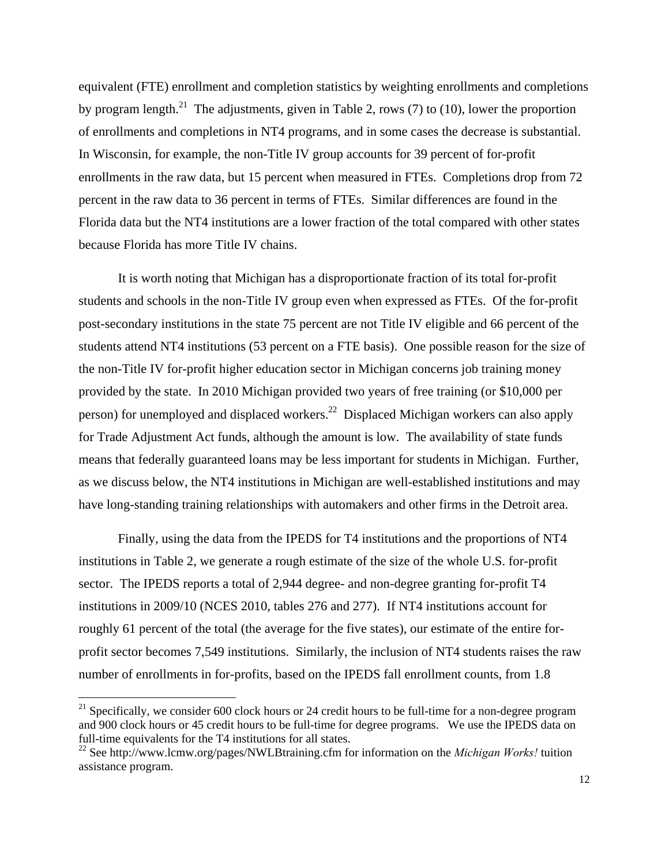equivalent (FTE) enrollment and completion statistics by weighting enrollments and completions by program length.<sup>21</sup> The adjustments, given in Table 2, rows (7) to (10), lower the proportion of enrollments and completions in NT4 programs, and in some cases the decrease is substantial. In Wisconsin, for example, the non-Title IV group accounts for 39 percent of for-profit enrollments in the raw data, but 15 percent when measured in FTEs. Completions drop from 72 percent in the raw data to 36 percent in terms of FTEs. Similar differences are found in the Florida data but the NT4 institutions are a lower fraction of the total compared with other states because Florida has more Title IV chains.

It is worth noting that Michigan has a disproportionate fraction of its total for-profit students and schools in the non-Title IV group even when expressed as FTEs. Of the for-profit post-secondary institutions in the state 75 percent are not Title IV eligible and 66 percent of the students attend NT4 institutions (53 percent on a FTE basis). One possible reason for the size of the non-Title IV for-profit higher education sector in Michigan concerns job training money provided by the state. In 2010 Michigan provided two years of free training (or \$10,000 per person) for unemployed and displaced workers.22 Displaced Michigan workers can also apply for Trade Adjustment Act funds, although the amount is low. The availability of state funds means that federally guaranteed loans may be less important for students in Michigan. Further, as we discuss below, the NT4 institutions in Michigan are well-established institutions and may have long-standing training relationships with automakers and other firms in the Detroit area.

Finally, using the data from the IPEDS for T4 institutions and the proportions of NT4 institutions in Table 2, we generate a rough estimate of the size of the whole U.S. for-profit sector. The IPEDS reports a total of 2,944 degree- and non-degree granting for-profit T4 institutions in 2009/10 (NCES 2010, tables 276 and 277). If NT4 institutions account for roughly 61 percent of the total (the average for the five states), our estimate of the entire forprofit sector becomes 7,549 institutions. Similarly, the inclusion of NT4 students raises the raw number of enrollments in for-profits, based on the IPEDS fall enrollment counts, from 1.8

<sup>&</sup>lt;sup>21</sup> Specifically, we consider 600 clock hours or 24 credit hours to be full-time for a non-degree program and 900 clock hours or 45 credit hours to be full-time for degree programs. We use the IPEDS data on full-time equivalents for the T4 institutions for all states.

<sup>22</sup> See http://www.lcmw.org/pages/NWLBtraining.cfm for information on the *Michigan Works!* tuition assistance program.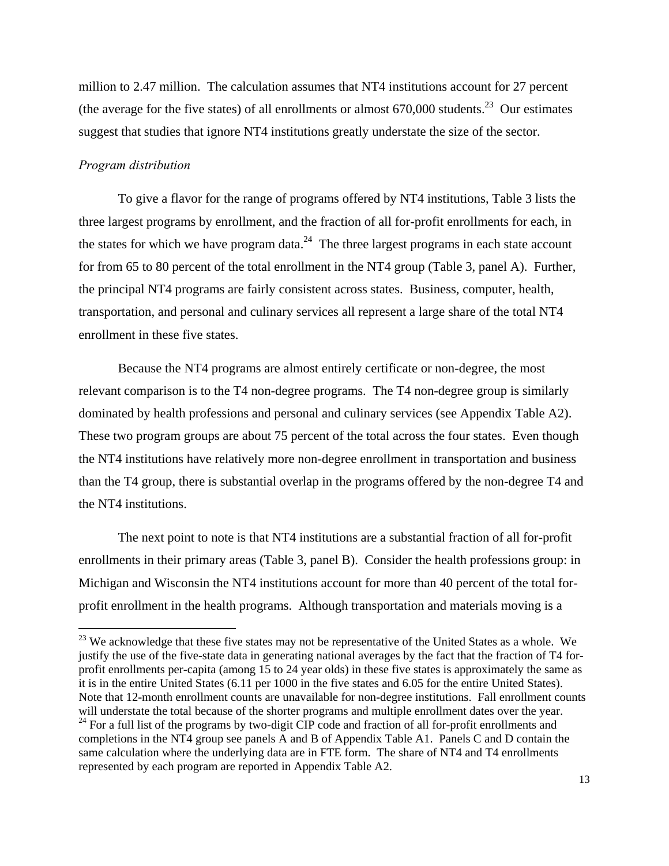million to 2.47 million. The calculation assumes that NT4 institutions account for 27 percent (the average for the five states) of all enrollments or almost  $670,000$  students.<sup>23</sup> Our estimates suggest that studies that ignore NT4 institutions greatly understate the size of the sector.

## *Program distribution*

 $\overline{a}$ 

To give a flavor for the range of programs offered by NT4 institutions, Table 3 lists the three largest programs by enrollment, and the fraction of all for-profit enrollments for each, in the states for which we have program data.<sup>24</sup> The three largest programs in each state account for from 65 to 80 percent of the total enrollment in the NT4 group (Table 3, panel A). Further, the principal NT4 programs are fairly consistent across states. Business, computer, health, transportation, and personal and culinary services all represent a large share of the total NT4 enrollment in these five states.

Because the NT4 programs are almost entirely certificate or non-degree, the most relevant comparison is to the T4 non-degree programs. The T4 non-degree group is similarly dominated by health professions and personal and culinary services (see Appendix Table A2). These two program groups are about 75 percent of the total across the four states. Even though the NT4 institutions have relatively more non-degree enrollment in transportation and business than the T4 group, there is substantial overlap in the programs offered by the non-degree T4 and the NT4 institutions.

The next point to note is that NT4 institutions are a substantial fraction of all for-profit enrollments in their primary areas (Table 3, panel B). Consider the health professions group: in Michigan and Wisconsin the NT4 institutions account for more than 40 percent of the total forprofit enrollment in the health programs. Although transportation and materials moving is a

<sup>&</sup>lt;sup>23</sup> We acknowledge that these five states may not be representative of the United States as a whole. We justify the use of the five-state data in generating national averages by the fact that the fraction of T4 forprofit enrollments per-capita (among 15 to 24 year olds) in these five states is approximately the same as it is in the entire United States (6.11 per 1000 in the five states and 6.05 for the entire United States). Note that 12-month enrollment counts are unavailable for non-degree institutions. Fall enrollment counts will understate the total because of the shorter programs and multiple enrollment dates over the year.  $^{24}$  For a full list of the programs by two-digit CIP code and fraction of all for-profit enrollments and completions in the NT4 group see panels A and B of Appendix Table A1. Panels C and D contain the same calculation where the underlying data are in FTE form. The share of NT4 and T4 enrollments represented by each program are reported in Appendix Table A2.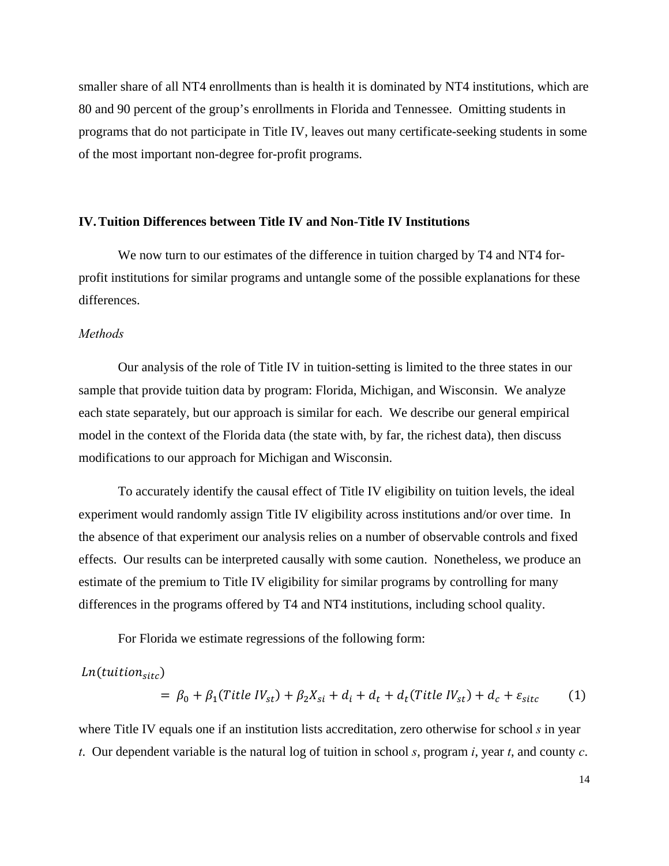smaller share of all NT4 enrollments than is health it is dominated by NT4 institutions, which are 80 and 90 percent of the group's enrollments in Florida and Tennessee. Omitting students in programs that do not participate in Title IV, leaves out many certificate-seeking students in some of the most important non-degree for-profit programs.

#### **IV.Tuition Differences between Title IV and Non-Title IV Institutions**

We now turn to our estimates of the difference in tuition charged by T4 and NT4 forprofit institutions for similar programs and untangle some of the possible explanations for these differences.

## *Methods*

Our analysis of the role of Title IV in tuition-setting is limited to the three states in our sample that provide tuition data by program: Florida, Michigan, and Wisconsin. We analyze each state separately, but our approach is similar for each. We describe our general empirical model in the context of the Florida data (the state with, by far, the richest data), then discuss modifications to our approach for Michigan and Wisconsin.

To accurately identify the causal effect of Title IV eligibility on tuition levels, the ideal experiment would randomly assign Title IV eligibility across institutions and/or over time. In the absence of that experiment our analysis relies on a number of observable controls and fixed effects. Our results can be interpreted causally with some caution. Nonetheless, we produce an estimate of the premium to Title IV eligibility for similar programs by controlling for many differences in the programs offered by T4 and NT4 institutions, including school quality.

For Florida we estimate regressions of the following form:

$$
Ln(tuition_{site})
$$
  
=  $\beta_0 + \beta_1(Title\ IV_{st}) + \beta_2 X_{si} + d_t + d_t(Title\ IV_{st}) + d_c + \varepsilon_{site}$  (1)

where Title IV equals one if an institution lists accreditation, zero otherwise for school *s* in year *t*. Our dependent variable is the natural log of tuition in school *s*, program *i*, year *t*, and county *c*.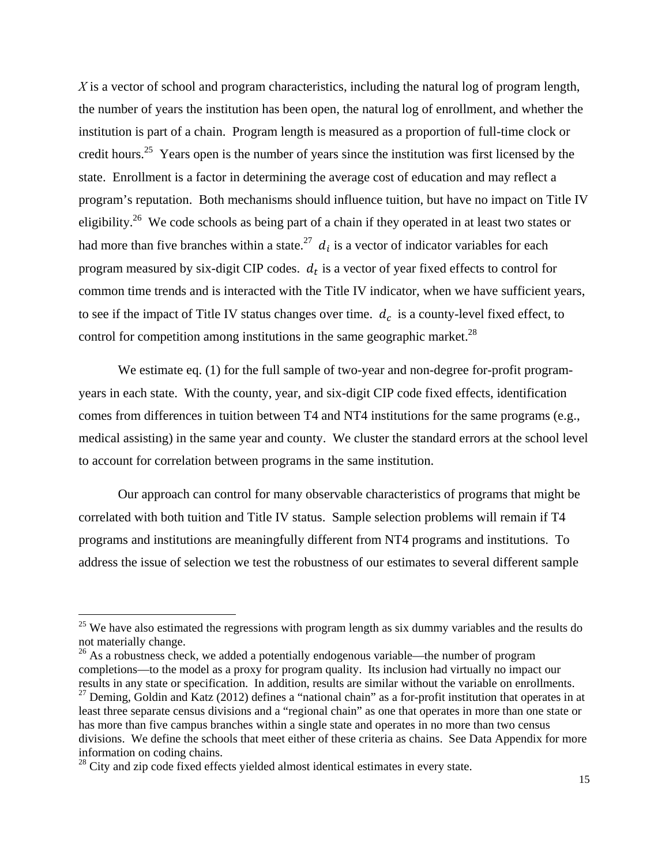*X* is a vector of school and program characteristics, including the natural log of program length, the number of years the institution has been open, the natural log of enrollment, and whether the institution is part of a chain. Program length is measured as a proportion of full-time clock or credit hours.25 Years open is the number of years since the institution was first licensed by the state. Enrollment is a factor in determining the average cost of education and may reflect a program's reputation. Both mechanisms should influence tuition, but have no impact on Title IV eligibility.<sup>26</sup> We code schools as being part of a chain if they operated in at least two states or had more than five branches within a state.<sup>27</sup>  $d_i$  is a vector of indicator variables for each program measured by six-digit CIP codes.  $d_t$  is a vector of year fixed effects to control for common time trends and is interacted with the Title IV indicator, when we have sufficient years, to see if the impact of Title IV status changes over time.  $d_c$  is a county-level fixed effect, to control for competition among institutions in the same geographic market.<sup>28</sup>

We estimate eq. (1) for the full sample of two-year and non-degree for-profit programyears in each state. With the county, year, and six-digit CIP code fixed effects, identification comes from differences in tuition between T4 and NT4 institutions for the same programs (e.g., medical assisting) in the same year and county. We cluster the standard errors at the school level to account for correlation between programs in the same institution.

Our approach can control for many observable characteristics of programs that might be correlated with both tuition and Title IV status. Sample selection problems will remain if T4 programs and institutions are meaningfully different from NT4 programs and institutions. To address the issue of selection we test the robustness of our estimates to several different sample

 $25$  We have also estimated the regressions with program length as six dummy variables and the results do not materially change.

 $26$  As a robustness check, we added a potentially endogenous variable—the number of program completions—to the model as a proxy for program quality. Its inclusion had virtually no impact our results in any state or specification. In addition, results are similar without the variable on enrollments.  $27$  Deming, Goldin and Katz (2012) defines a "national chain" as a for-profit institution that operates in at

least three separate census divisions and a "regional chain" as one that operates in more than one state or has more than five campus branches within a single state and operates in no more than two census divisions. We define the schools that meet either of these criteria as chains. See Data Appendix for more information on coding chains.

 $28$  City and zip code fixed effects yielded almost identical estimates in every state.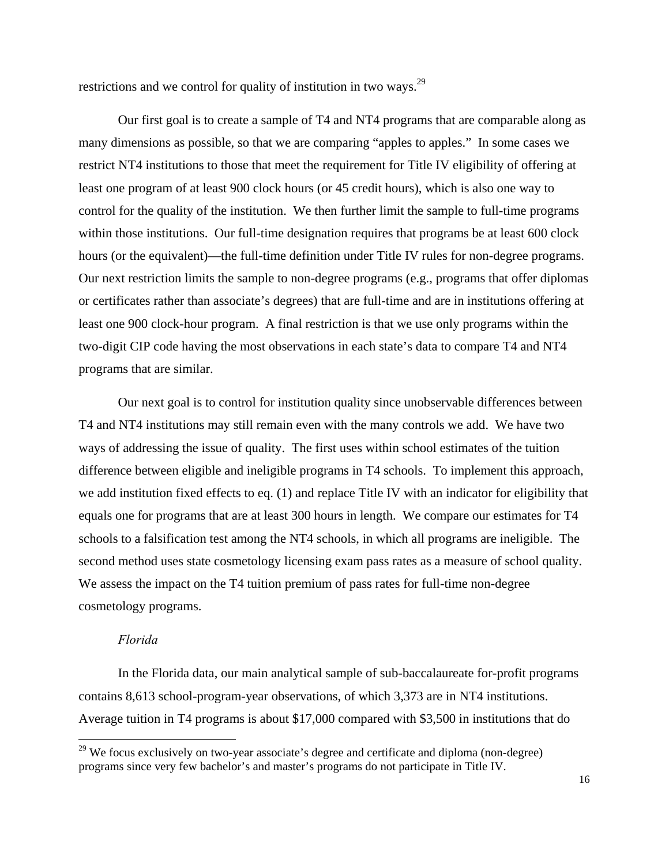restrictions and we control for quality of institution in two ways.<sup>29</sup>

Our first goal is to create a sample of T4 and NT4 programs that are comparable along as many dimensions as possible, so that we are comparing "apples to apples." In some cases we restrict NT4 institutions to those that meet the requirement for Title IV eligibility of offering at least one program of at least 900 clock hours (or 45 credit hours), which is also one way to control for the quality of the institution. We then further limit the sample to full-time programs within those institutions. Our full-time designation requires that programs be at least 600 clock hours (or the equivalent)—the full-time definition under Title IV rules for non-degree programs. Our next restriction limits the sample to non-degree programs (e.g., programs that offer diplomas or certificates rather than associate's degrees) that are full-time and are in institutions offering at least one 900 clock-hour program. A final restriction is that we use only programs within the two-digit CIP code having the most observations in each state's data to compare T4 and NT4 programs that are similar.

Our next goal is to control for institution quality since unobservable differences between T4 and NT4 institutions may still remain even with the many controls we add. We have two ways of addressing the issue of quality. The first uses within school estimates of the tuition difference between eligible and ineligible programs in T4 schools. To implement this approach, we add institution fixed effects to eq. (1) and replace Title IV with an indicator for eligibility that equals one for programs that are at least 300 hours in length. We compare our estimates for T4 schools to a falsification test among the NT4 schools, in which all programs are ineligible. The second method uses state cosmetology licensing exam pass rates as a measure of school quality. We assess the impact on the T4 tuition premium of pass rates for full-time non-degree cosmetology programs.

## *Florida*

 $\overline{a}$ 

 In the Florida data, our main analytical sample of sub-baccalaureate for-profit programs contains 8,613 school-program-year observations, of which 3,373 are in NT4 institutions. Average tuition in T4 programs is about \$17,000 compared with \$3,500 in institutions that do

 $29$  We focus exclusively on two-year associate's degree and certificate and diploma (non-degree) programs since very few bachelor's and master's programs do not participate in Title IV.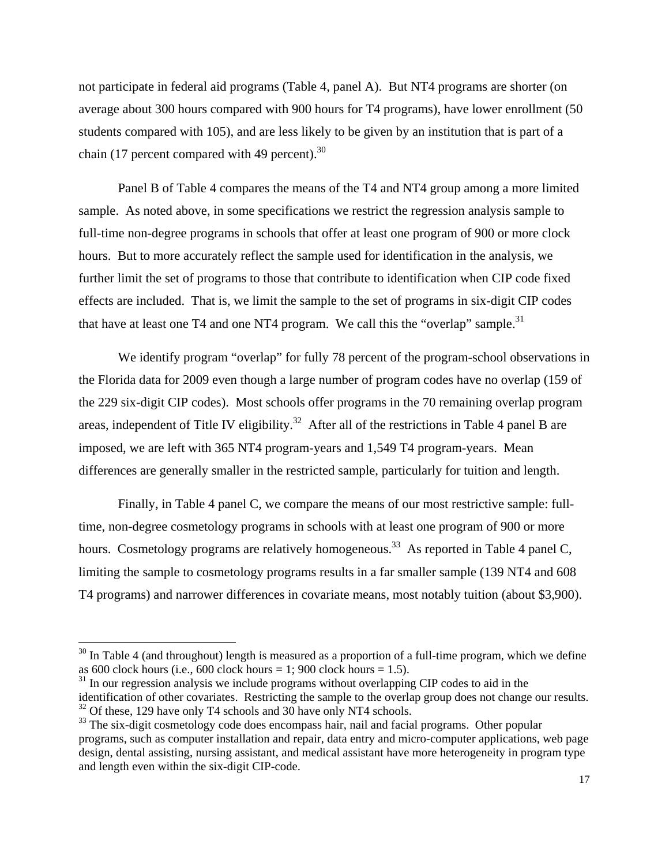not participate in federal aid programs (Table 4, panel A). But NT4 programs are shorter (on average about 300 hours compared with 900 hours for T4 programs), have lower enrollment (50 students compared with 105), and are less likely to be given by an institution that is part of a chain (17 percent compared with 49 percent). $30$ 

 Panel B of Table 4 compares the means of the T4 and NT4 group among a more limited sample. As noted above, in some specifications we restrict the regression analysis sample to full-time non-degree programs in schools that offer at least one program of 900 or more clock hours. But to more accurately reflect the sample used for identification in the analysis, we further limit the set of programs to those that contribute to identification when CIP code fixed effects are included. That is, we limit the sample to the set of programs in six-digit CIP codes that have at least one T4 and one NT4 program. We call this the "overlap" sample.<sup>31</sup>

We identify program "overlap" for fully 78 percent of the program-school observations in the Florida data for 2009 even though a large number of program codes have no overlap (159 of the 229 six-digit CIP codes). Most schools offer programs in the 70 remaining overlap program areas, independent of Title IV eligibility.<sup>32</sup> After all of the restrictions in Table 4 panel B are imposed, we are left with 365 NT4 program-years and 1,549 T4 program-years. Mean differences are generally smaller in the restricted sample, particularly for tuition and length.

Finally, in Table 4 panel C, we compare the means of our most restrictive sample: fulltime, non-degree cosmetology programs in schools with at least one program of 900 or more hours. Cosmetology programs are relatively homogeneous.<sup>33</sup> As reported in Table 4 panel C, limiting the sample to cosmetology programs results in a far smaller sample (139 NT4 and 608 T4 programs) and narrower differences in covariate means, most notably tuition (about \$3,900).

 $30$  In Table 4 (and throughout) length is measured as a proportion of a full-time program, which we define as 600 clock hours (i.e., 600 clock hours = 1; 900 clock hours = 1.5).

 $31$  In our regression analysis we include programs without overlapping CIP codes to aid in the identification of other covariates. Restricting the sample to the overlap group does not change our results.

<sup>&</sup>lt;sup>32</sup> Of these, 129 have only T4 schools and 30 have only NT4 schools.

<sup>&</sup>lt;sup>33</sup> The six-digit cosmetology code does encompass hair, nail and facial programs. Other popular programs, such as computer installation and repair, data entry and micro-computer applications, web page design, dental assisting, nursing assistant, and medical assistant have more heterogeneity in program type and length even within the six-digit CIP-code.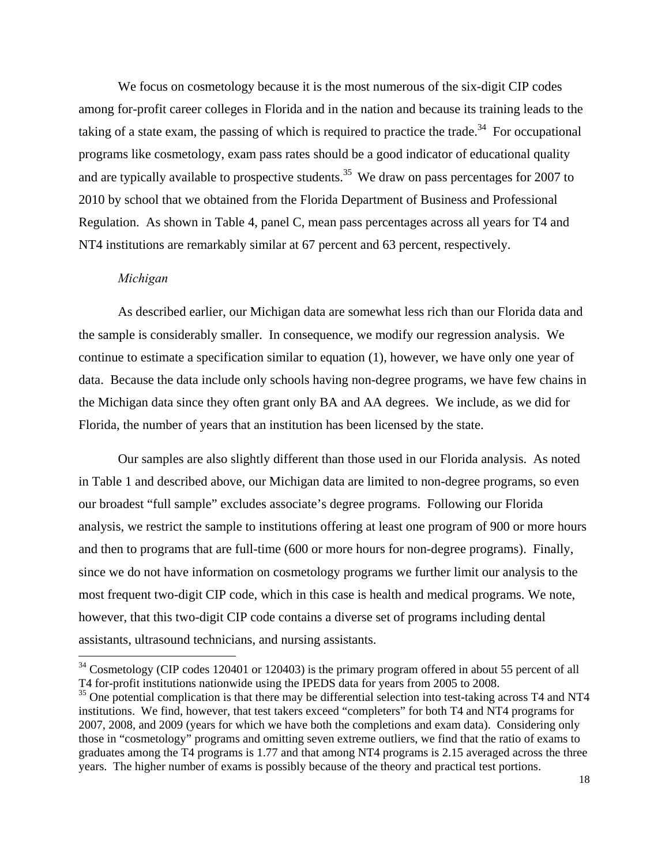We focus on cosmetology because it is the most numerous of the six-digit CIP codes among for-profit career colleges in Florida and in the nation and because its training leads to the taking of a state exam, the passing of which is required to practice the trade.<sup>34</sup> For occupational programs like cosmetology, exam pass rates should be a good indicator of educational quality and are typically available to prospective students.<sup>35</sup> We draw on pass percentages for 2007 to 2010 by school that we obtained from the Florida Department of Business and Professional Regulation. As shown in Table 4, panel C, mean pass percentages across all years for T4 and NT4 institutions are remarkably similar at 67 percent and 63 percent, respectively.

## *Michigan*

 $\overline{a}$ 

As described earlier, our Michigan data are somewhat less rich than our Florida data and the sample is considerably smaller. In consequence, we modify our regression analysis. We continue to estimate a specification similar to equation (1), however, we have only one year of data. Because the data include only schools having non-degree programs, we have few chains in the Michigan data since they often grant only BA and AA degrees. We include, as we did for Florida, the number of years that an institution has been licensed by the state.

Our samples are also slightly different than those used in our Florida analysis. As noted in Table 1 and described above, our Michigan data are limited to non-degree programs, so even our broadest "full sample" excludes associate's degree programs. Following our Florida analysis, we restrict the sample to institutions offering at least one program of 900 or more hours and then to programs that are full-time (600 or more hours for non-degree programs). Finally, since we do not have information on cosmetology programs we further limit our analysis to the most frequent two-digit CIP code, which in this case is health and medical programs. We note, however, that this two-digit CIP code contains a diverse set of programs including dental assistants, ultrasound technicians, and nursing assistants.

 $34$  Cosmetology (CIP codes 120401 or 120403) is the primary program offered in about 55 percent of all T4 for-profit institutions nationwide using the IPEDS data for years from 2005 to 2008.

<sup>&</sup>lt;sup>35</sup> One potential complication is that there may be differential selection into test-taking across T4 and NT4 institutions. We find, however, that test takers exceed "completers" for both T4 and NT4 programs for 2007, 2008, and 2009 (years for which we have both the completions and exam data). Considering only those in "cosmetology" programs and omitting seven extreme outliers, we find that the ratio of exams to graduates among the T4 programs is 1.77 and that among NT4 programs is 2.15 averaged across the three years. The higher number of exams is possibly because of the theory and practical test portions.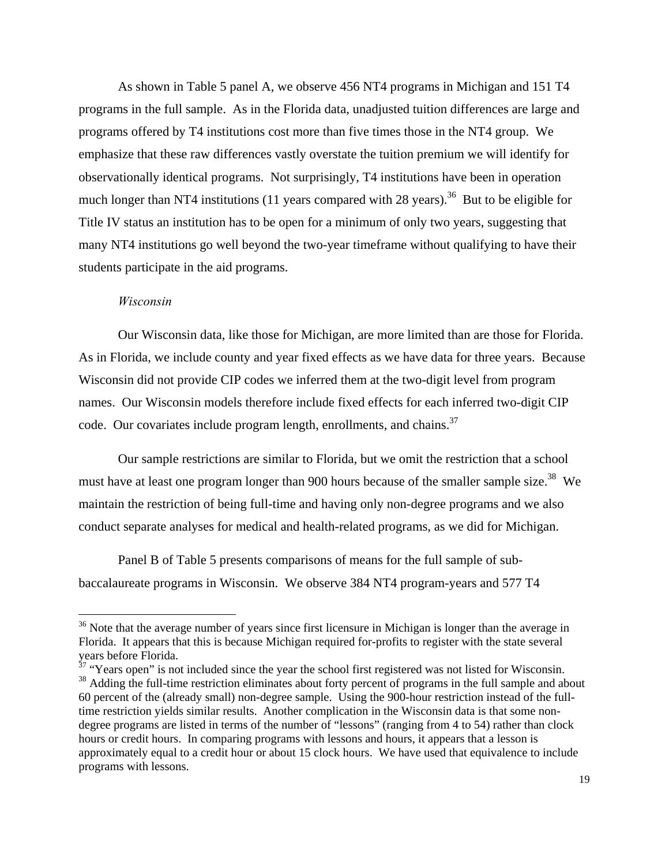As shown in Table 5 panel A, we observe 456 NT4 programs in Michigan and 151 T4 programs in the full sample. As in the Florida data, unadjusted tuition differences are large and programs offered by T4 institutions cost more than five times those in the NT4 group. We emphasize that these raw differences vastly overstate the tuition premium we will identify for observationally identical programs. Not surprisingly, T4 institutions have been in operation much longer than NT4 institutions (11 years compared with 28 years).<sup>36</sup> But to be eligible for Title IV status an institution has to be open for a minimum of only two years, suggesting that many NT4 institutions go well beyond the two-year timeframe without qualifying to have their students participate in the aid programs.

#### *Wisconsin*

1

 Our Wisconsin data, like those for Michigan, are more limited than are those for Florida. As in Florida, we include county and year fixed effects as we have data for three years. Because Wisconsin did not provide CIP codes we inferred them at the two-digit level from program names. Our Wisconsin models therefore include fixed effects for each inferred two-digit CIP code. Our covariates include program length, enrollments, and chains.<sup>37</sup>

 Our sample restrictions are similar to Florida, but we omit the restriction that a school must have at least one program longer than 900 hours because of the smaller sample size.<sup>38</sup> We maintain the restriction of being full-time and having only non-degree programs and we also conduct separate analyses for medical and health-related programs, as we did for Michigan.

 Panel B of Table 5 presents comparisons of means for the full sample of subbaccalaureate programs in Wisconsin. We observe 384 NT4 program-years and 577 T4

<sup>&</sup>lt;sup>36</sup> Note that the average number of years since first licensure in Michigan is longer than the average in Florida. It appears that this is because Michigan required for-profits to register with the state several years before Florida.

 $37$  "Years open" is not included since the year the school first registered was not listed for Wisconsin. <sup>38</sup> Adding the full-time restriction eliminates about forty percent of programs in the full sample and about 60 percent of the (already small) non-degree sample. Using the 900-hour restriction instead of the fulltime restriction yields similar results. Another complication in the Wisconsin data is that some nondegree programs are listed in terms of the number of "lessons" (ranging from 4 to 54) rather than clock hours or credit hours. In comparing programs with lessons and hours, it appears that a lesson is approximately equal to a credit hour or about 15 clock hours. We have used that equivalence to include programs with lessons.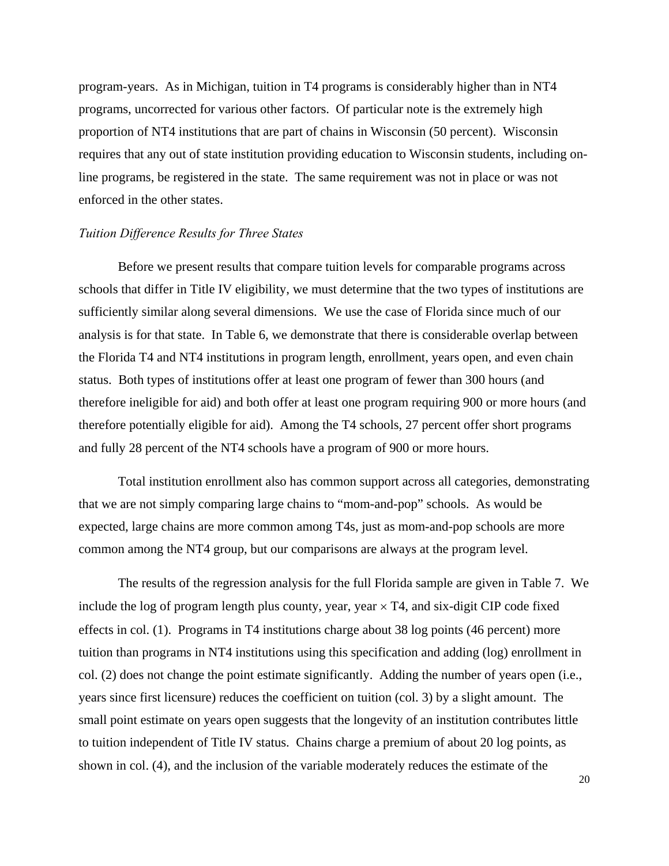program-years. As in Michigan, tuition in T4 programs is considerably higher than in NT4 programs, uncorrected for various other factors. Of particular note is the extremely high proportion of NT4 institutions that are part of chains in Wisconsin (50 percent). Wisconsin requires that any out of state institution providing education to Wisconsin students, including online programs, be registered in the state. The same requirement was not in place or was not enforced in the other states.

## *Tuition Difference Results for Three States*

Before we present results that compare tuition levels for comparable programs across schools that differ in Title IV eligibility, we must determine that the two types of institutions are sufficiently similar along several dimensions. We use the case of Florida since much of our analysis is for that state. In Table 6, we demonstrate that there is considerable overlap between the Florida T4 and NT4 institutions in program length, enrollment, years open, and even chain status. Both types of institutions offer at least one program of fewer than 300 hours (and therefore ineligible for aid) and both offer at least one program requiring 900 or more hours (and therefore potentially eligible for aid). Among the T4 schools, 27 percent offer short programs and fully 28 percent of the NT4 schools have a program of 900 or more hours.

Total institution enrollment also has common support across all categories, demonstrating that we are not simply comparing large chains to "mom-and-pop" schools. As would be expected, large chains are more common among T4s, just as mom-and-pop schools are more common among the NT4 group, but our comparisons are always at the program level.

The results of the regression analysis for the full Florida sample are given in Table 7. We include the log of program length plus county, year, year  $\times$  T4, and six-digit CIP code fixed effects in col. (1). Programs in T4 institutions charge about 38 log points (46 percent) more tuition than programs in NT4 institutions using this specification and adding (log) enrollment in col. (2) does not change the point estimate significantly. Adding the number of years open (i.e., years since first licensure) reduces the coefficient on tuition (col. 3) by a slight amount. The small point estimate on years open suggests that the longevity of an institution contributes little to tuition independent of Title IV status. Chains charge a premium of about 20 log points, as shown in col. (4), and the inclusion of the variable moderately reduces the estimate of the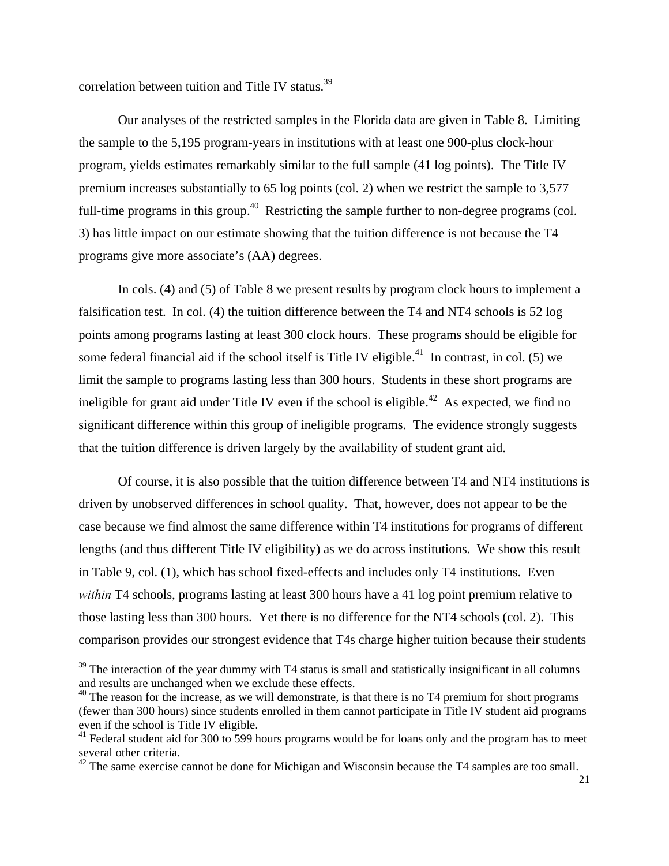correlation between tuition and Title IV status.<sup>39</sup>

 $\overline{a}$ 

Our analyses of the restricted samples in the Florida data are given in Table 8. Limiting the sample to the 5,195 program-years in institutions with at least one 900-plus clock-hour program, yields estimates remarkably similar to the full sample (41 log points). The Title IV premium increases substantially to 65 log points (col. 2) when we restrict the sample to 3,577 full-time programs in this group.<sup>40</sup> Restricting the sample further to non-degree programs (col. 3) has little impact on our estimate showing that the tuition difference is not because the T4 programs give more associate's (AA) degrees.

In cols. (4) and (5) of Table 8 we present results by program clock hours to implement a falsification test. In col. (4) the tuition difference between the T4 and NT4 schools is 52 log points among programs lasting at least 300 clock hours. These programs should be eligible for some federal financial aid if the school itself is Title IV eligible.<sup>41</sup> In contrast, in col. (5) we limit the sample to programs lasting less than 300 hours. Students in these short programs are ineligible for grant aid under Title IV even if the school is eligible.<sup>42</sup> As expected, we find no significant difference within this group of ineligible programs. The evidence strongly suggests that the tuition difference is driven largely by the availability of student grant aid.

Of course, it is also possible that the tuition difference between T4 and NT4 institutions is driven by unobserved differences in school quality. That, however, does not appear to be the case because we find almost the same difference within T4 institutions for programs of different lengths (and thus different Title IV eligibility) as we do across institutions. We show this result in Table 9, col. (1), which has school fixed-effects and includes only T4 institutions. Even *within* T4 schools, programs lasting at least 300 hours have a 41 log point premium relative to those lasting less than 300 hours. Yet there is no difference for the NT4 schools (col. 2). This comparison provides our strongest evidence that T4s charge higher tuition because their students

 $39$  The interaction of the year dummy with T4 status is small and statistically insignificant in all columns and results are unchanged when we exclude these effects.

 $40$  The reason for the increase, as we will demonstrate, is that there is no T4 premium for short programs (fewer than 300 hours) since students enrolled in them cannot participate in Title IV student aid programs even if the school is Title IV eligible.

 $41$  Federal student aid for 300 to 599 hours programs would be for loans only and the program has to meet several other criteria.

 $42$  The same exercise cannot be done for Michigan and Wisconsin because the T4 samples are too small.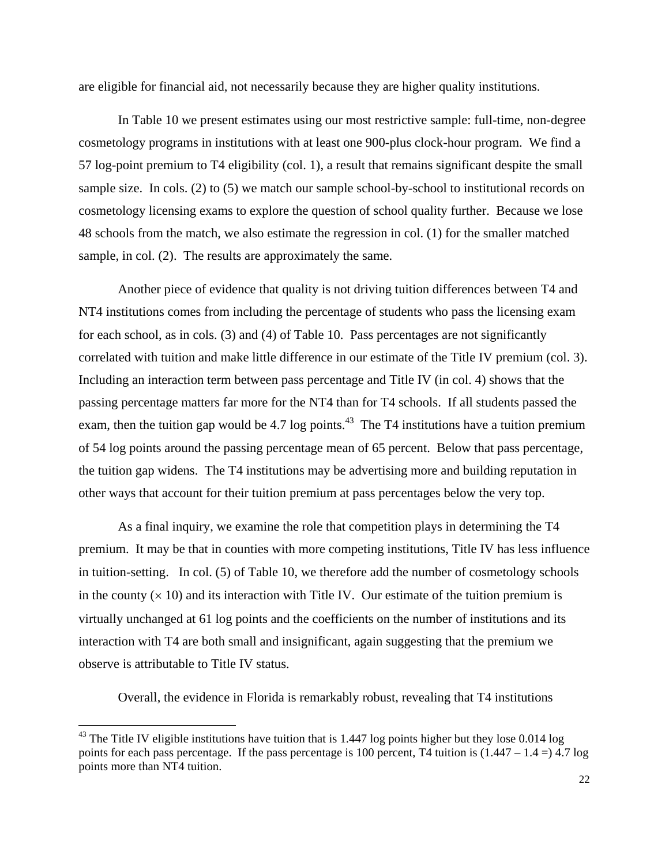are eligible for financial aid, not necessarily because they are higher quality institutions.

In Table 10 we present estimates using our most restrictive sample: full-time, non-degree cosmetology programs in institutions with at least one 900-plus clock-hour program. We find a 57 log-point premium to T4 eligibility (col. 1), a result that remains significant despite the small sample size. In cols. (2) to (5) we match our sample school-by-school to institutional records on cosmetology licensing exams to explore the question of school quality further. Because we lose 48 schools from the match, we also estimate the regression in col. (1) for the smaller matched sample, in col. (2). The results are approximately the same.

Another piece of evidence that quality is not driving tuition differences between T4 and NT4 institutions comes from including the percentage of students who pass the licensing exam for each school, as in cols. (3) and (4) of Table 10. Pass percentages are not significantly correlated with tuition and make little difference in our estimate of the Title IV premium (col. 3). Including an interaction term between pass percentage and Title IV (in col. 4) shows that the passing percentage matters far more for the NT4 than for T4 schools. If all students passed the exam, then the tuition gap would be 4.7 log points.<sup>43</sup> The T4 institutions have a tuition premium of 54 log points around the passing percentage mean of 65 percent. Below that pass percentage, the tuition gap widens. The T4 institutions may be advertising more and building reputation in other ways that account for their tuition premium at pass percentages below the very top.

As a final inquiry, we examine the role that competition plays in determining the T4 premium. It may be that in counties with more competing institutions, Title IV has less influence in tuition-setting. In col. (5) of Table 10, we therefore add the number of cosmetology schools in the county  $(x 10)$  and its interaction with Title IV. Our estimate of the tuition premium is virtually unchanged at 61 log points and the coefficients on the number of institutions and its interaction with T4 are both small and insignificant, again suggesting that the premium we observe is attributable to Title IV status.

Overall, the evidence in Florida is remarkably robust, revealing that T4 institutions

 $^{43}$  The Title IV eligible institutions have tuition that is 1.447 log points higher but they lose 0.014 log points for each pass percentage. If the pass percentage is 100 percent, T4 tuition is  $(1.447 - 1.4 =)$  4.7 log points more than NT4 tuition.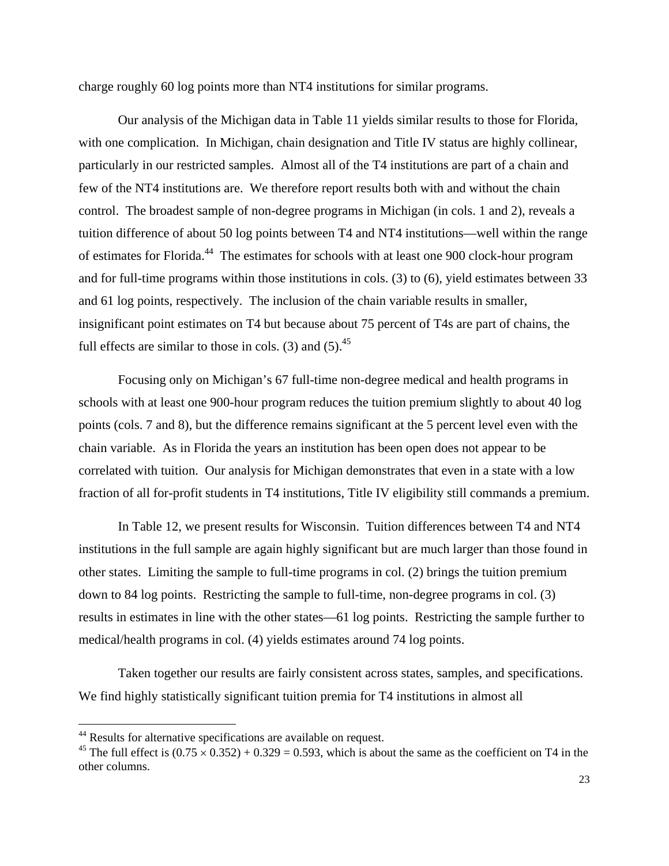charge roughly 60 log points more than NT4 institutions for similar programs.

 Our analysis of the Michigan data in Table 11 yields similar results to those for Florida, with one complication. In Michigan, chain designation and Title IV status are highly collinear, particularly in our restricted samples. Almost all of the T4 institutions are part of a chain and few of the NT4 institutions are. We therefore report results both with and without the chain control. The broadest sample of non-degree programs in Michigan (in cols. 1 and 2), reveals a tuition difference of about 50 log points between T4 and NT4 institutions—well within the range of estimates for Florida.44 The estimates for schools with at least one 900 clock-hour program and for full-time programs within those institutions in cols. (3) to (6), yield estimates between 33 and 61 log points, respectively. The inclusion of the chain variable results in smaller, insignificant point estimates on T4 but because about 75 percent of T4s are part of chains, the full effects are similar to those in cols. (3) and  $(5)$ .<sup>45</sup>

Focusing only on Michigan's 67 full-time non-degree medical and health programs in schools with at least one 900-hour program reduces the tuition premium slightly to about 40 log points (cols. 7 and 8), but the difference remains significant at the 5 percent level even with the chain variable. As in Florida the years an institution has been open does not appear to be correlated with tuition. Our analysis for Michigan demonstrates that even in a state with a low fraction of all for-profit students in T4 institutions, Title IV eligibility still commands a premium.

In Table 12, we present results for Wisconsin. Tuition differences between T4 and NT4 institutions in the full sample are again highly significant but are much larger than those found in other states. Limiting the sample to full-time programs in col. (2) brings the tuition premium down to 84 log points. Restricting the sample to full-time, non-degree programs in col. (3) results in estimates in line with the other states—61 log points. Restricting the sample further to medical/health programs in col. (4) yields estimates around 74 log points.

Taken together our results are fairly consistent across states, samples, and specifications. We find highly statistically significant tuition premia for T4 institutions in almost all

1

<sup>&</sup>lt;sup>44</sup> Results for alternative specifications are available on request.

<sup>&</sup>lt;sup>45</sup> The full effect is  $(0.75 \times 0.352) + 0.329 = 0.593$ , which is about the same as the coefficient on T4 in the other columns.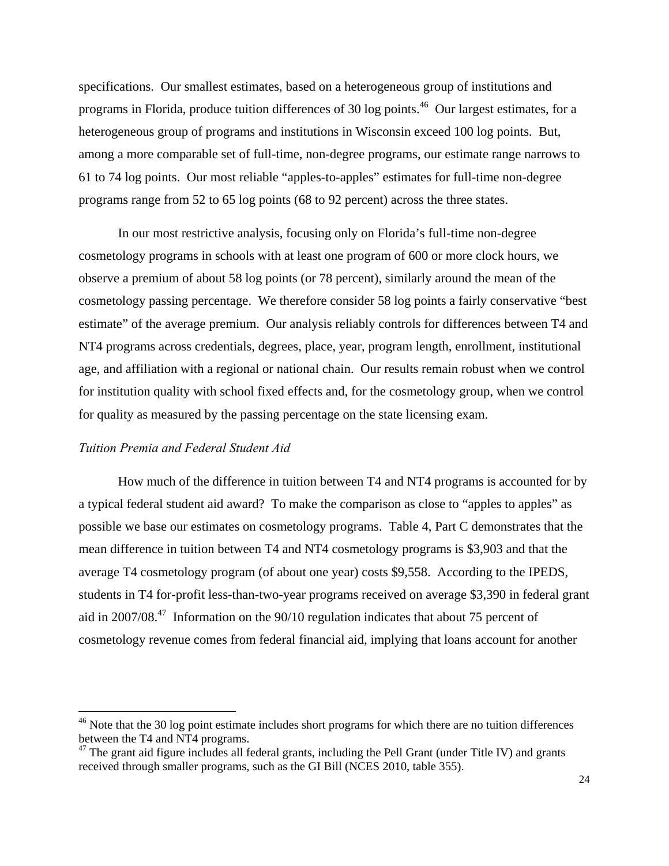specifications. Our smallest estimates, based on a heterogeneous group of institutions and programs in Florida, produce tuition differences of 30 log points.<sup>46</sup> Our largest estimates, for a heterogeneous group of programs and institutions in Wisconsin exceed 100 log points. But, among a more comparable set of full-time, non-degree programs, our estimate range narrows to 61 to 74 log points. Our most reliable "apples-to-apples" estimates for full-time non-degree programs range from 52 to 65 log points (68 to 92 percent) across the three states.

In our most restrictive analysis, focusing only on Florida's full-time non-degree cosmetology programs in schools with at least one program of 600 or more clock hours, we observe a premium of about 58 log points (or 78 percent), similarly around the mean of the cosmetology passing percentage. We therefore consider 58 log points a fairly conservative "best estimate" of the average premium. Our analysis reliably controls for differences between T4 and NT4 programs across credentials, degrees, place, year, program length, enrollment, institutional age, and affiliation with a regional or national chain. Our results remain robust when we control for institution quality with school fixed effects and, for the cosmetology group, when we control for quality as measured by the passing percentage on the state licensing exam.

## *Tuition Premia and Federal Student Aid*

 $\overline{a}$ 

How much of the difference in tuition between T4 and NT4 programs is accounted for by a typical federal student aid award? To make the comparison as close to "apples to apples" as possible we base our estimates on cosmetology programs. Table 4, Part C demonstrates that the mean difference in tuition between T4 and NT4 cosmetology programs is \$3,903 and that the average T4 cosmetology program (of about one year) costs \$9,558. According to the IPEDS, students in T4 for-profit less-than-two-year programs received on average \$3,390 in federal grant aid in 2007/08.47 Information on the 90/10 regulation indicates that about 75 percent of cosmetology revenue comes from federal financial aid, implying that loans account for another

<sup>&</sup>lt;sup>46</sup> Note that the 30 log point estimate includes short programs for which there are no tuition differences between the T4 and NT4 programs.

 $47$  The grant aid figure includes all federal grants, including the Pell Grant (under Title IV) and grants received through smaller programs, such as the GI Bill (NCES 2010, table 355).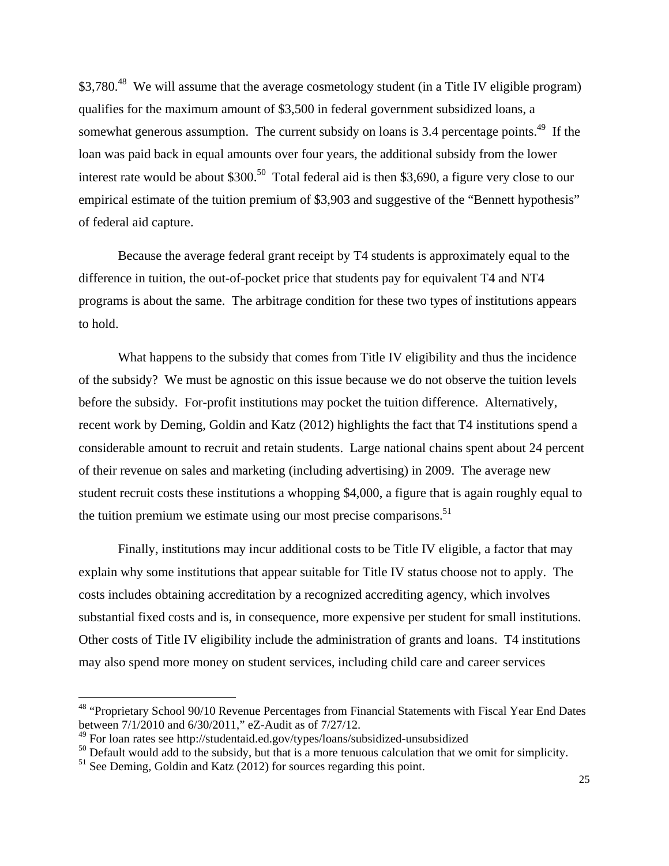\$3,780.<sup>48</sup> We will assume that the average cosmetology student (in a Title IV eligible program) qualifies for the maximum amount of \$3,500 in federal government subsidized loans, a somewhat generous assumption. The current subsidy on loans is 3.4 percentage points.<sup>49</sup> If the loan was paid back in equal amounts over four years, the additional subsidy from the lower interest rate would be about \$300.<sup>50</sup> Total federal aid is then \$3,690, a figure very close to our empirical estimate of the tuition premium of \$3,903 and suggestive of the "Bennett hypothesis" of federal aid capture.

Because the average federal grant receipt by T4 students is approximately equal to the difference in tuition, the out-of-pocket price that students pay for equivalent T4 and NT4 programs is about the same. The arbitrage condition for these two types of institutions appears to hold.

What happens to the subsidy that comes from Title IV eligibility and thus the incidence of the subsidy? We must be agnostic on this issue because we do not observe the tuition levels before the subsidy. For-profit institutions may pocket the tuition difference. Alternatively, recent work by Deming, Goldin and Katz (2012) highlights the fact that T4 institutions spend a considerable amount to recruit and retain students. Large national chains spent about 24 percent of their revenue on sales and marketing (including advertising) in 2009. The average new student recruit costs these institutions a whopping \$4,000, a figure that is again roughly equal to the tuition premium we estimate using our most precise comparisons.<sup>51</sup>

Finally, institutions may incur additional costs to be Title IV eligible, a factor that may explain why some institutions that appear suitable for Title IV status choose not to apply. The costs includes obtaining accreditation by a recognized accrediting agency, which involves substantial fixed costs and is, in consequence, more expensive per student for small institutions. Other costs of Title IV eligibility include the administration of grants and loans. T4 institutions may also spend more money on student services, including child care and career services

<sup>&</sup>lt;sup>48</sup> "Proprietary School 90/10 Revenue Percentages from Financial Statements with Fiscal Year End Dates between 7/1/2010 and 6/30/2011," eZ-Audit as of 7/27/12.

<sup>49</sup> For loan rates see http://studentaid.ed.gov/types/loans/subsidized-unsubsidized

 $50$  Default would add to the subsidy, but that is a more tenuous calculation that we omit for simplicity.

<sup>&</sup>lt;sup>51</sup> See Deming, Goldin and Katz (2012) for sources regarding this point.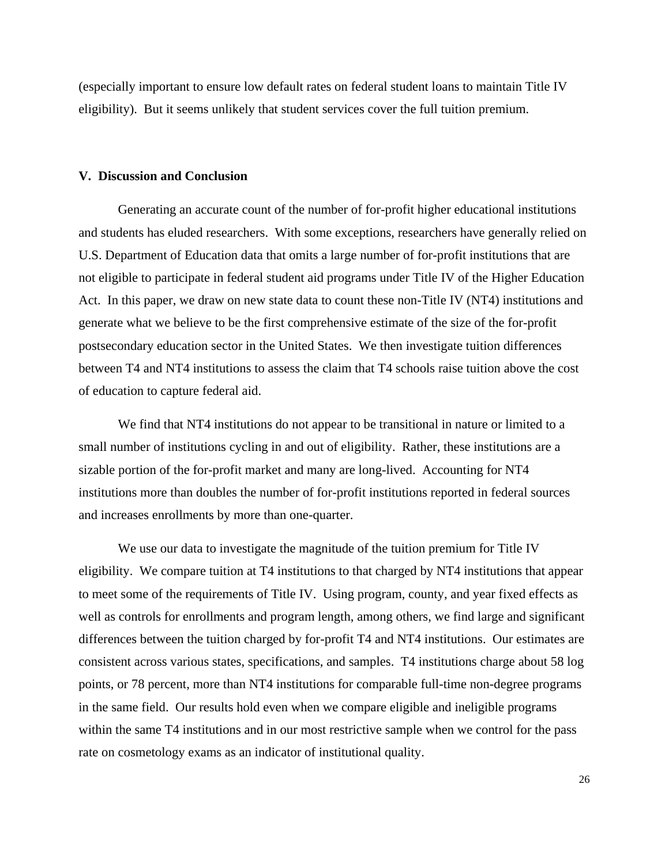(especially important to ensure low default rates on federal student loans to maintain Title IV eligibility). But it seems unlikely that student services cover the full tuition premium.

### **V. Discussion and Conclusion**

 Generating an accurate count of the number of for-profit higher educational institutions and students has eluded researchers. With some exceptions, researchers have generally relied on U.S. Department of Education data that omits a large number of for-profit institutions that are not eligible to participate in federal student aid programs under Title IV of the Higher Education Act. In this paper, we draw on new state data to count these non-Title IV (NT4) institutions and generate what we believe to be the first comprehensive estimate of the size of the for-profit postsecondary education sector in the United States. We then investigate tuition differences between T4 and NT4 institutions to assess the claim that T4 schools raise tuition above the cost of education to capture federal aid.

We find that NT4 institutions do not appear to be transitional in nature or limited to a small number of institutions cycling in and out of eligibility. Rather, these institutions are a sizable portion of the for-profit market and many are long-lived. Accounting for NT4 institutions more than doubles the number of for-profit institutions reported in federal sources and increases enrollments by more than one-quarter.

 We use our data to investigate the magnitude of the tuition premium for Title IV eligibility. We compare tuition at T4 institutions to that charged by NT4 institutions that appear to meet some of the requirements of Title IV. Using program, county, and year fixed effects as well as controls for enrollments and program length, among others, we find large and significant differences between the tuition charged by for-profit T4 and NT4 institutions. Our estimates are consistent across various states, specifications, and samples. T4 institutions charge about 58 log points, or 78 percent, more than NT4 institutions for comparable full-time non-degree programs in the same field. Our results hold even when we compare eligible and ineligible programs within the same T4 institutions and in our most restrictive sample when we control for the pass rate on cosmetology exams as an indicator of institutional quality.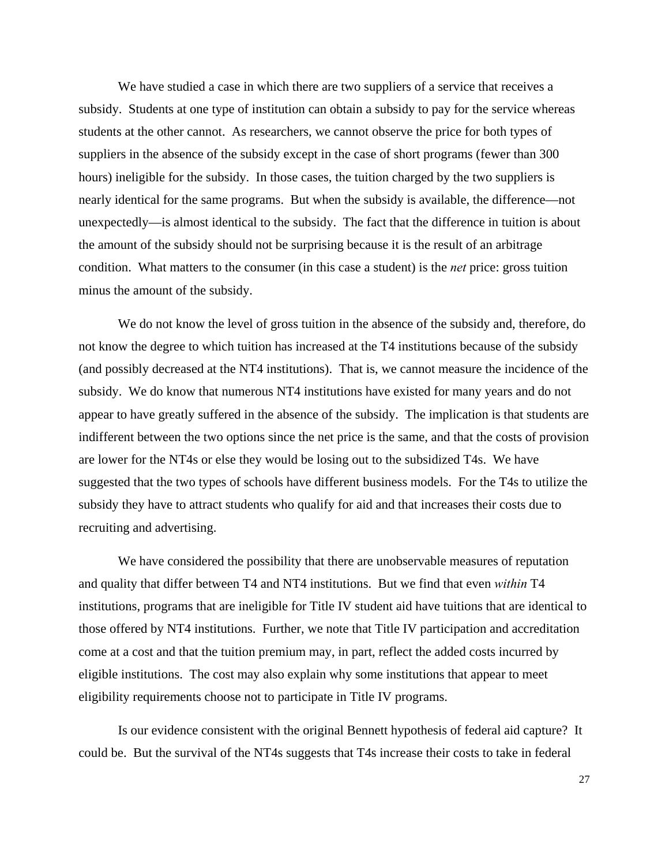We have studied a case in which there are two suppliers of a service that receives a subsidy. Students at one type of institution can obtain a subsidy to pay for the service whereas students at the other cannot. As researchers, we cannot observe the price for both types of suppliers in the absence of the subsidy except in the case of short programs (fewer than 300 hours) ineligible for the subsidy. In those cases, the tuition charged by the two suppliers is nearly identical for the same programs. But when the subsidy is available, the difference—not unexpectedly—is almost identical to the subsidy. The fact that the difference in tuition is about the amount of the subsidy should not be surprising because it is the result of an arbitrage condition. What matters to the consumer (in this case a student) is the *net* price: gross tuition minus the amount of the subsidy.

We do not know the level of gross tuition in the absence of the subsidy and, therefore, do not know the degree to which tuition has increased at the T4 institutions because of the subsidy (and possibly decreased at the NT4 institutions). That is, we cannot measure the incidence of the subsidy. We do know that numerous NT4 institutions have existed for many years and do not appear to have greatly suffered in the absence of the subsidy. The implication is that students are indifferent between the two options since the net price is the same, and that the costs of provision are lower for the NT4s or else they would be losing out to the subsidized T4s. We have suggested that the two types of schools have different business models. For the T4s to utilize the subsidy they have to attract students who qualify for aid and that increases their costs due to recruiting and advertising.

We have considered the possibility that there are unobservable measures of reputation and quality that differ between T4 and NT4 institutions. But we find that even *within* T4 institutions, programs that are ineligible for Title IV student aid have tuitions that are identical to those offered by NT4 institutions. Further, we note that Title IV participation and accreditation come at a cost and that the tuition premium may, in part, reflect the added costs incurred by eligible institutions. The cost may also explain why some institutions that appear to meet eligibility requirements choose not to participate in Title IV programs.

Is our evidence consistent with the original Bennett hypothesis of federal aid capture? It could be. But the survival of the NT4s suggests that T4s increase their costs to take in federal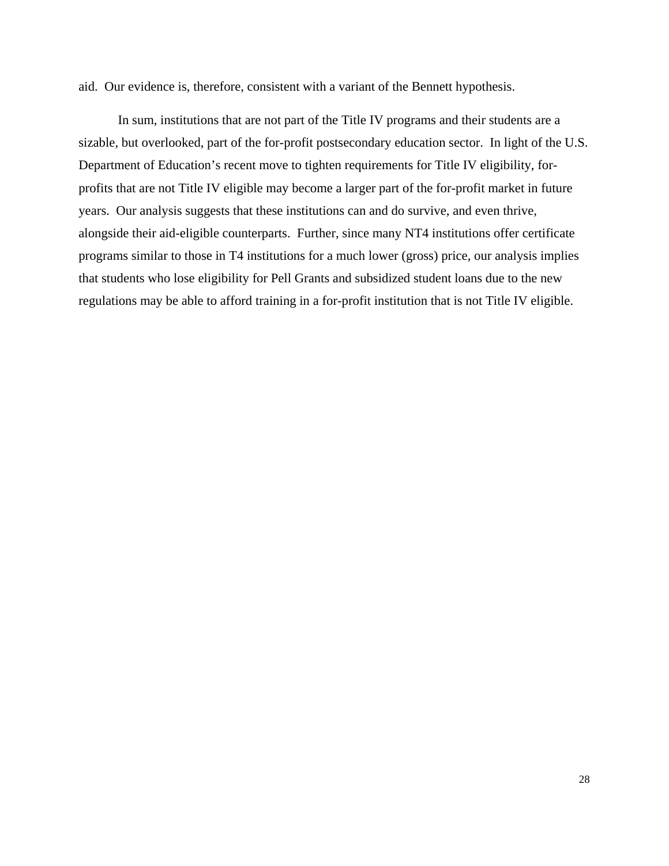aid. Our evidence is, therefore, consistent with a variant of the Bennett hypothesis.

In sum, institutions that are not part of the Title IV programs and their students are a sizable, but overlooked, part of the for-profit postsecondary education sector. In light of the U.S. Department of Education's recent move to tighten requirements for Title IV eligibility, forprofits that are not Title IV eligible may become a larger part of the for-profit market in future years. Our analysis suggests that these institutions can and do survive, and even thrive, alongside their aid-eligible counterparts. Further, since many NT4 institutions offer certificate programs similar to those in T4 institutions for a much lower (gross) price, our analysis implies that students who lose eligibility for Pell Grants and subsidized student loans due to the new regulations may be able to afford training in a for-profit institution that is not Title IV eligible.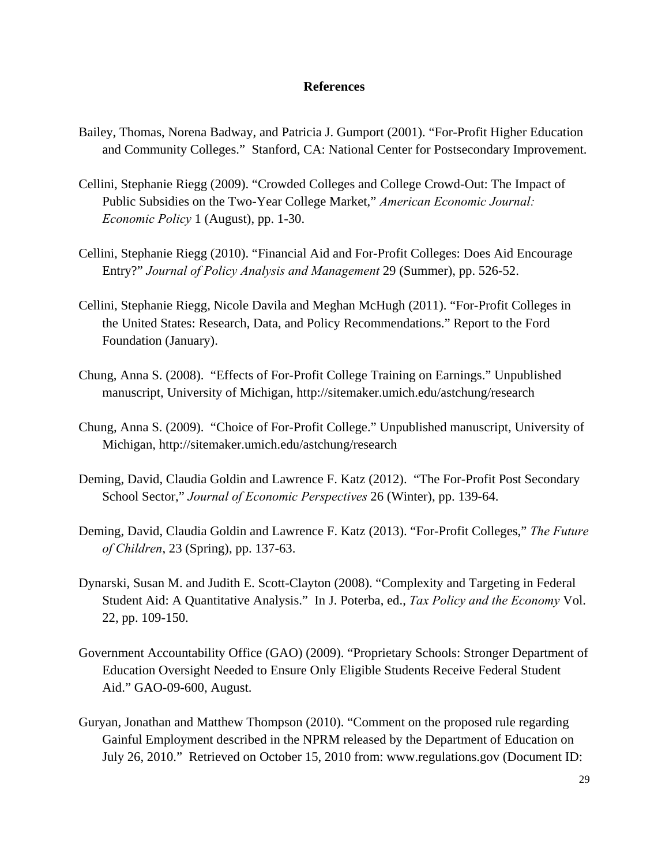## **References**

- Bailey, Thomas, Norena Badway, and Patricia J. Gumport (2001). "For-Profit Higher Education and Community Colleges." Stanford, CA: National Center for Postsecondary Improvement.
- Cellini, Stephanie Riegg (2009). "Crowded Colleges and College Crowd-Out: The Impact of Public Subsidies on the Two-Year College Market," *American Economic Journal: Economic Policy* 1 (August), pp. 1-30.
- Cellini, Stephanie Riegg (2010). "Financial Aid and For-Profit Colleges: Does Aid Encourage Entry?" *Journal of Policy Analysis and Management* 29 (Summer), pp. 526-52.
- Cellini, Stephanie Riegg, Nicole Davila and Meghan McHugh (2011). "For-Profit Colleges in the United States: Research, Data, and Policy Recommendations." Report to the Ford Foundation (January).
- Chung, Anna S. (2008). "Effects of For-Profit College Training on Earnings." Unpublished manuscript, University of Michigan, http://sitemaker.umich.edu/astchung/research
- Chung, Anna S. (2009). "Choice of For-Profit College." Unpublished manuscript, University of Michigan, http://sitemaker.umich.edu/astchung/research
- Deming, David, Claudia Goldin and Lawrence F. Katz (2012). "The For-Profit Post Secondary School Sector," *Journal of Economic Perspectives* 26 (Winter), pp. 139-64.
- Deming, David, Claudia Goldin and Lawrence F. Katz (2013). "For-Profit Colleges," *The Future of Children*, 23 (Spring), pp. 137-63.
- Dynarski, Susan M. and Judith E. Scott-Clayton (2008). "Complexity and Targeting in Federal Student Aid: A Quantitative Analysis." In J. Poterba, ed., *Tax Policy and the Economy* Vol. 22, pp. 109-150.
- Government Accountability Office (GAO) (2009). "Proprietary Schools: Stronger Department of Education Oversight Needed to Ensure Only Eligible Students Receive Federal Student Aid." GAO-09-600, August.
- Guryan, Jonathan and Matthew Thompson (2010). "Comment on the proposed rule regarding Gainful Employment described in the NPRM released by the Department of Education on July 26, 2010." Retrieved on October 15, 2010 from: www.regulations.gov (Document ID: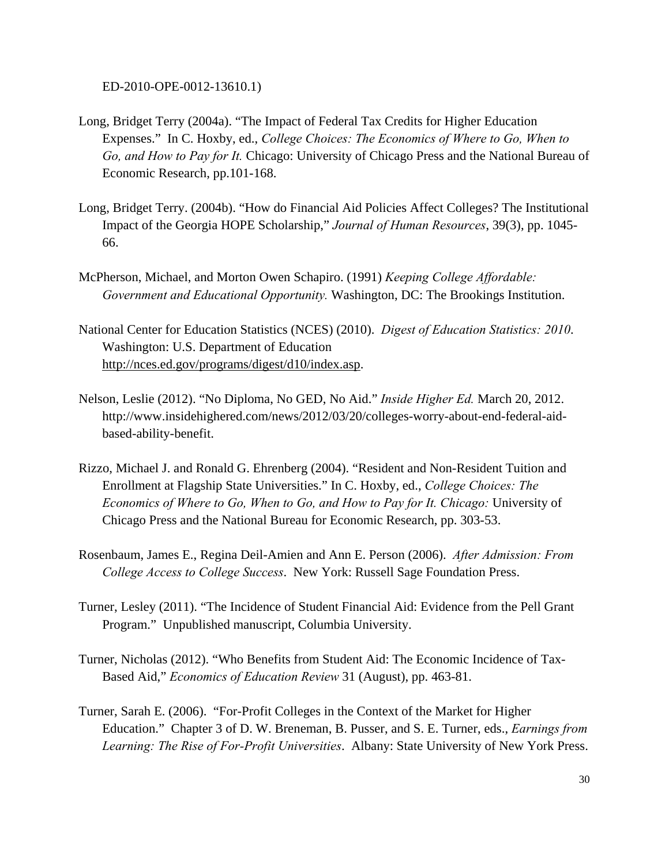ED-2010-OPE-0012-13610.1)

- Long, Bridget Terry (2004a). "The Impact of Federal Tax Credits for Higher Education Expenses." In C. Hoxby, ed., *College Choices: The Economics of Where to Go, When to Go, and How to Pay for It.* Chicago: University of Chicago Press and the National Bureau of Economic Research, pp.101-168.
- Long, Bridget Terry. (2004b). "How do Financial Aid Policies Affect Colleges? The Institutional Impact of the Georgia HOPE Scholarship," *Journal of Human Resources*, 39(3), pp. 1045- 66.
- McPherson, Michael, and Morton Owen Schapiro. (1991) *Keeping College Affordable: Government and Educational Opportunity.* Washington, DC: The Brookings Institution.
- National Center for Education Statistics (NCES) (2010). *Digest of Education Statistics: 2010*. Washington: U.S. Department of Education http://nces.ed.gov/programs/digest/d10/index.asp.
- Nelson, Leslie (2012). "No Diploma, No GED, No Aid." *Inside Higher Ed.* March 20, 2012. http://www.insidehighered.com/news/2012/03/20/colleges-worry-about-end-federal-aidbased-ability-benefit.
- Rizzo, Michael J. and Ronald G. Ehrenberg (2004). "Resident and Non-Resident Tuition and Enrollment at Flagship State Universities." In C. Hoxby, ed., *College Choices: The Economics of Where to Go, When to Go, and How to Pay for It. Chicago:* University of Chicago Press and the National Bureau for Economic Research, pp. 303-53.
- Rosenbaum, James E., Regina Deil-Amien and Ann E. Person (2006). *After Admission: From College Access to College Success*. New York: Russell Sage Foundation Press.
- Turner, Lesley (2011). "The Incidence of Student Financial Aid: Evidence from the Pell Grant Program." Unpublished manuscript, Columbia University.
- Turner, Nicholas (2012). "Who Benefits from Student Aid: The Economic Incidence of Tax-Based Aid," *Economics of Education Review* 31 (August), pp. 463-81.
- Turner, Sarah E. (2006). "For-Profit Colleges in the Context of the Market for Higher Education." Chapter 3 of D. W. Breneman, B. Pusser, and S. E. Turner, eds., *Earnings from Learning: The Rise of For-Profit Universities*. Albany: State University of New York Press.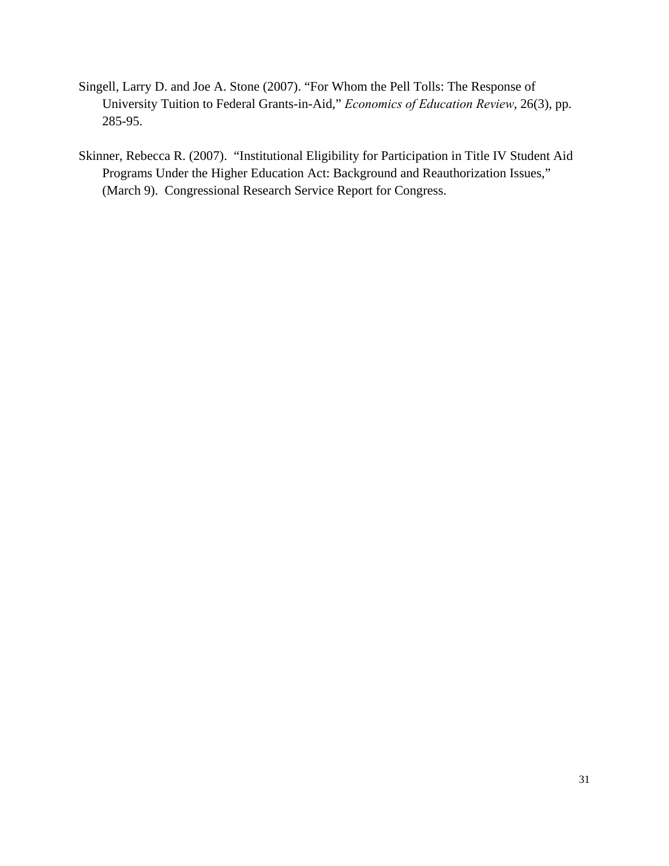- Singell, Larry D. and Joe A. Stone (2007). "For Whom the Pell Tolls: The Response of University Tuition to Federal Grants-in-Aid," *Economics of Education Review*, 26(3), pp. 285-95.
- Skinner, Rebecca R. (2007). "Institutional Eligibility for Participation in Title IV Student Aid Programs Under the Higher Education Act: Background and Reauthorization Issues," (March 9). Congressional Research Service Report for Congress.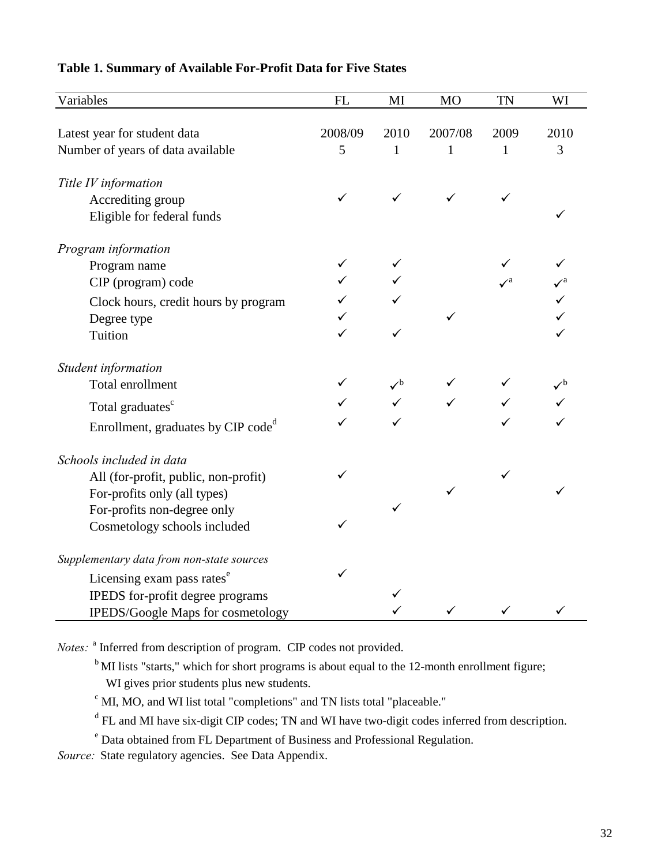| Variables                                      | FL      | MI                    | <b>MO</b>    | <b>TN</b>             | WI   |
|------------------------------------------------|---------|-----------------------|--------------|-----------------------|------|
|                                                |         |                       |              |                       |      |
| Latest year for student data                   | 2008/09 | 2010                  | 2007/08      | 2009                  | 2010 |
| Number of years of data available              | 5       | $\mathbf{1}$          | $\mathbf{1}$ | $\mathbf{1}$          | 3    |
| Title IV information                           |         |                       |              |                       |      |
| Accrediting group                              | ✓       | ✓                     | ✓            | ✓                     |      |
| Eligible for federal funds                     |         |                       |              |                       | ✓    |
| Program information                            |         |                       |              |                       |      |
| Program name                                   | ✓       |                       |              |                       |      |
| CIP (program) code                             |         |                       |              | $\mathcal{V}^{\rm a}$ |      |
| Clock hours, credit hours by program           |         |                       |              |                       |      |
| Degree type                                    |         |                       |              |                       |      |
| Tuition                                        | ✓       | ✓                     |              |                       |      |
| Student information                            |         |                       |              |                       |      |
| Total enrollment                               | ✓       | $\mathcal{V}^{\rm b}$ |              |                       |      |
| Total graduates <sup>c</sup>                   |         |                       |              |                       |      |
| Enrollment, graduates by CIP code <sup>d</sup> |         |                       |              |                       |      |
| Schools included in data                       |         |                       |              |                       |      |
| All (for-profit, public, non-profit)           | ✓       |                       |              | ✓                     |      |
| For-profits only (all types)                   |         |                       |              |                       |      |
| For-profits non-degree only                    |         | ✓                     |              |                       |      |
| Cosmetology schools included                   | ✓       |                       |              |                       |      |
| Supplementary data from non-state sources      |         |                       |              |                       |      |
| Licensing exam pass rates <sup>e</sup>         | ✓       |                       |              |                       |      |
| IPEDS for-profit degree programs               |         | ✓                     |              |                       |      |
| IPEDS/Google Maps for cosmetology              |         |                       |              | ✓                     |      |

# **Table 1. Summary of Available For-Profit Data for Five States**

*Notes:* <sup>a</sup> Inferred from description of program. CIP codes not provided.

<sup>b</sup>MI lists "starts," which for short programs is about equal to the 12-month enrollment figure; WI gives prior students plus new students.

 $\degree$  MI, MO, and WI list total "completions" and TN lists total "placeable."

<sup>d</sup> FL and MI have six-digit CIP codes; TN and WI have two-digit codes inferred from description.

e Data obtained from FL Department of Business and Professional Regulation.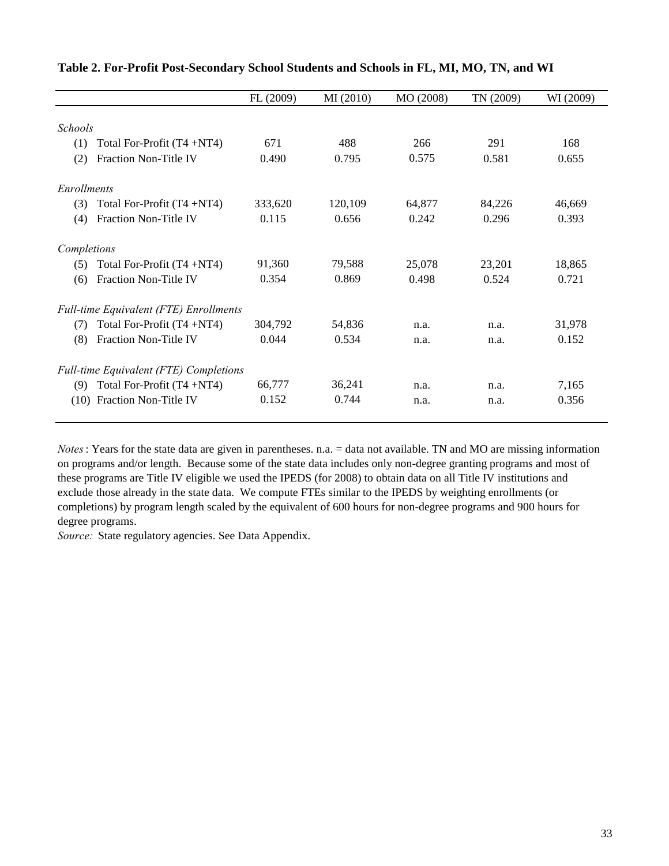|                    |                                               | FL (2009) | MI (2010) | MO (2008) | TN (2009) | WI (2009) |
|--------------------|-----------------------------------------------|-----------|-----------|-----------|-----------|-----------|
|                    |                                               |           |           |           |           |           |
| <b>Schools</b>     |                                               |           |           |           |           |           |
| (1)                | Total For-Profit (T4+NT4)                     | 671       | 488       | 266       | 291       | 168       |
| (2)                | <b>Fraction Non-Title IV</b>                  | 0.490     | 0.795     | 0.575     | 0.581     | 0.655     |
| <i>Enrollments</i> |                                               |           |           |           |           |           |
| (3)                | Total For-Profit $(T4 + NT4)$                 | 333,620   | 120,109   | 64,877    | 84,226    | 46,669    |
| (4)                | <b>Fraction Non-Title IV</b>                  | 0.115     | 0.656     | 0.242     | 0.296     | 0.393     |
| Completions        |                                               |           |           |           |           |           |
| (5)                | Total For-Profit $(T4 + NT4)$                 | 91,360    | 79,588    | 25,078    | 23,201    | 18,865    |
| (6)                | <b>Fraction Non-Title IV</b>                  | 0.354     | 0.869     | 0.498     | 0.524     | 0.721     |
|                    | <b>Full-time Equivalent (FTE) Enrollments</b> |           |           |           |           |           |
| (7)                | Total For-Profit $(T4 + NT4)$                 | 304,792   | 54,836    | n.a.      | n.a.      | 31,978    |
| (8)                | <b>Fraction Non-Title IV</b>                  | 0.044     | 0.534     | n.a.      | n.a.      | 0.152     |
|                    | <b>Full-time Equivalent (FTE) Completions</b> |           |           |           |           |           |
| (9)                | Total For-Profit $(T4 + NT4)$                 | 66,777    | 36,241    | n.a.      | n.a.      | 7,165     |
| (10)               | Fraction Non-Title IV                         | 0.152     | 0.744     | n.a.      | n.a.      | 0.356     |

# **Table 2. For-Profit Post-Secondary School Students and Schools in FL, MI, MO, TN, and WI**

*Notes*: Years for the state data are given in parentheses. n.a. = data not available. TN and MO are missing information on programs and/or length. Because some of the state data includes only non-degree granting programs and most of these programs are Title IV eligible we used the IPEDS (for 2008) to obtain data on all Title IV institutions and exclude those already in the state data. We compute FTEs similar to the IPEDS by weighting enrollments (or completions) by program length scaled by the equivalent of 600 hours for non-degree programs and 900 hours for degree programs.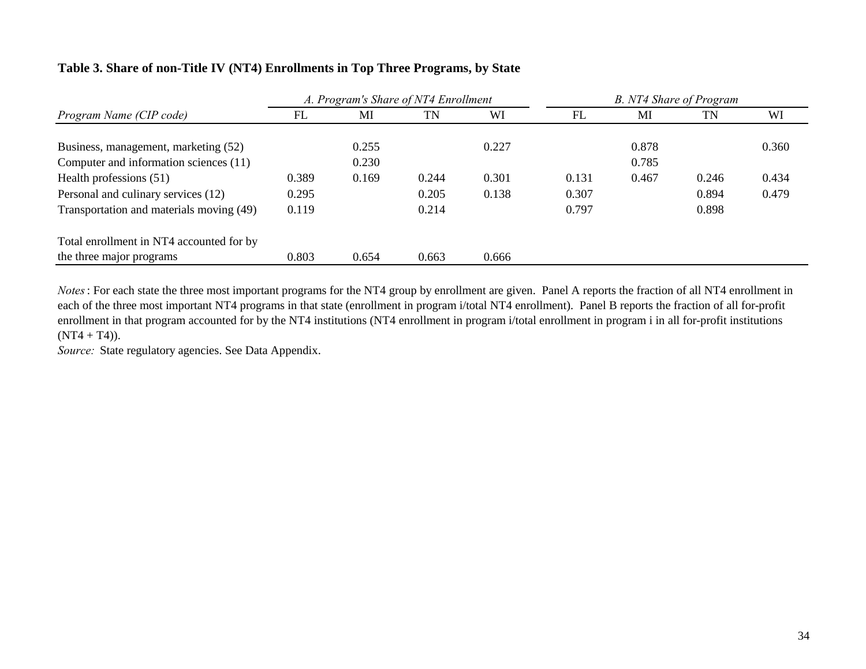# **Table 3. Share of non-Title IV (NT4) Enrollments in Top Three Programs, by State**

|                                          |       | A. Program's Share of NT4 Enrollment |       |       | B. NT4 Share of Program |       |       |       |
|------------------------------------------|-------|--------------------------------------|-------|-------|-------------------------|-------|-------|-------|
| Program Name (CIP code)                  | FL    | MI                                   | TN    | WI    | FL                      | MI    | TN    | WI    |
| Business, management, marketing (52)     |       | 0.255                                |       | 0.227 |                         | 0.878 |       | 0.360 |
| Computer and information sciences (11)   |       | 0.230                                |       |       |                         | 0.785 |       |       |
| Health professions (51)                  | 0.389 | 0.169                                | 0.244 | 0.301 | 0.131                   | 0.467 | 0.246 | 0.434 |
| Personal and culinary services (12)      | 0.295 |                                      | 0.205 | 0.138 | 0.307                   |       | 0.894 | 0.479 |
| Transportation and materials moving (49) | 0.119 |                                      | 0.214 |       | 0.797                   |       | 0.898 |       |
| Total enrollment in NT4 accounted for by |       |                                      |       |       |                         |       |       |       |
| the three major programs                 | 0.803 | 0.654                                | 0.663 | 0.666 |                         |       |       |       |

*Notes*: For each state the three most important programs for the NT4 group by enrollment are given. Panel A reports the fraction of all NT4 enrollment in each of the three most important NT4 programs in that state (enrollment in program i/total NT4 enrollment). Panel B reports the fraction of all for-profit enrollment in that program accounted for by the NT4 institutions (NT4 enrollment in program i/total enrollment in program i in all for-profit institutions  $(NT4 + T4)$ ).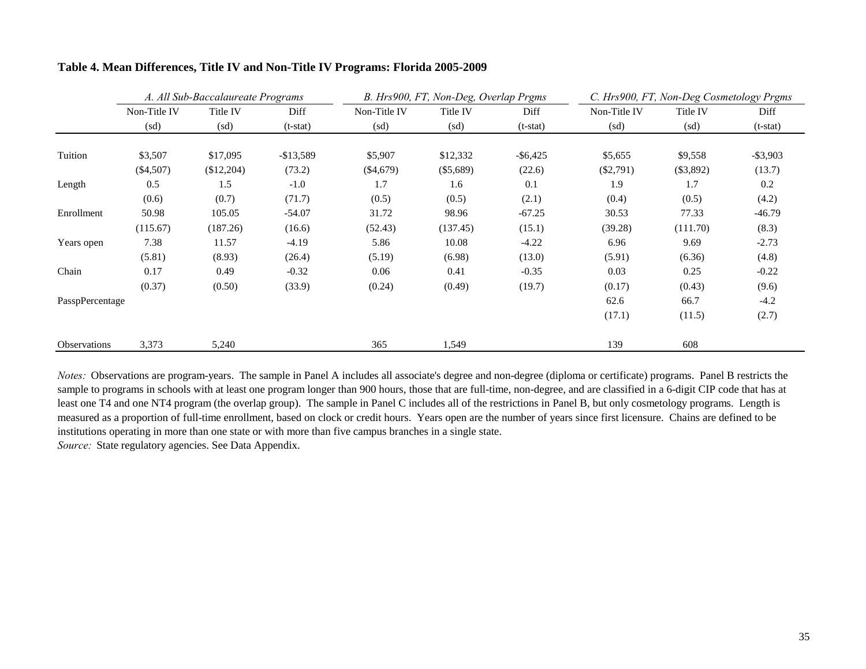|                     | A. All Sub-Baccalaureate Programs |                          |            |              | B. Hrs900, FT, Non-Deg, Overlap Prgms |             |                          | C. Hrs900, FT, Non-Deg Cosmetology Prgms |             |  |
|---------------------|-----------------------------------|--------------------------|------------|--------------|---------------------------------------|-------------|--------------------------|------------------------------------------|-------------|--|
|                     | Non-Title IV                      | Title IV                 | Diff       | Non-Title IV | Title IV                              | Diff        | Non-Title IV             | Title IV                                 | Diff        |  |
|                     | (sd)                              | $\left(\text{sd}\right)$ | $(t-stat)$ | (sd)         | (sd)                                  | $(t-stat)$  | $\left(\text{sd}\right)$ | $\left(\text{sd}\right)$                 | $(t-stat)$  |  |
|                     |                                   |                          |            |              |                                       |             |                          |                                          |             |  |
| Tuition             | \$3,507                           | \$17,095                 | $-$13,589$ | \$5,907      | \$12,332                              | $-$ \$6,425 | \$5,655                  | \$9,558                                  | $-$ \$3,903 |  |
|                     | $(\$4,507)$                       | (\$12,204)               | (73.2)     | $(\$4,679)$  | $(\$5,689)$                           | (22.6)      | $(\$2,791)$              | $(\$3,892)$                              | (13.7)      |  |
| Length              | 0.5                               | 1.5                      | $-1.0$     | 1.7          | 1.6                                   | 0.1         | 1.9                      | 1.7                                      | $0.2\,$     |  |
|                     | (0.6)                             | (0.7)                    | (71.7)     | (0.5)        | (0.5)                                 | (2.1)       | (0.4)                    | (0.5)                                    | (4.2)       |  |
| Enrollment          | 50.98                             | 105.05                   | $-54.07$   | 31.72        | 98.96                                 | $-67.25$    | 30.53                    | 77.33                                    | $-46.79$    |  |
|                     | (115.67)                          | (187.26)                 | (16.6)     | (52.43)      | (137.45)                              | (15.1)      | (39.28)                  | (111.70)                                 | (8.3)       |  |
| Years open          | 7.38                              | 11.57                    | $-4.19$    | 5.86         | 10.08                                 | $-4.22$     | 6.96                     | 9.69                                     | $-2.73$     |  |
|                     | (5.81)                            | (8.93)                   | (26.4)     | (5.19)       | (6.98)                                | (13.0)      | (5.91)                   | (6.36)                                   | (4.8)       |  |
| Chain               | 0.17                              | 0.49                     | $-0.32$    | 0.06         | 0.41                                  | $-0.35$     | 0.03                     | 0.25                                     | $-0.22$     |  |
|                     | (0.37)                            | (0.50)                   | (33.9)     | (0.24)       | (0.49)                                | (19.7)      | (0.17)                   | (0.43)                                   | (9.6)       |  |
| PasspPercentage     |                                   |                          |            |              |                                       |             | 62.6                     | 66.7                                     | $-4.2$      |  |
|                     |                                   |                          |            |              |                                       |             | (17.1)                   | (11.5)                                   | (2.7)       |  |
| <b>Observations</b> | 3,373                             | 5,240                    |            | 365          | 1,549                                 |             | 139                      | 608                                      |             |  |

### **Table 4. Mean Differences, Title IV and Non-Title IV Programs: Florida 2005-2009**

*Notes:* Observations are program-years. The sample in Panel A includes all associate's degree and non-degree (diploma or certificate) programs. Panel B restricts the sample to programs in schools with at least one program longer than 900 hours, those that are full-time, non-degree, and are classified in a 6-digit CIP code that has at least one T4 and one NT4 program (the overlap group). The sample in Panel C includes all of the restrictions in Panel B, but only cosmetology programs. Length is measured as a proportion of full-time enrollment, based on clock or credit hours. Years open are the number of years since first licensure. Chains are defined to be institutions operating in more than one state or with more than five campus branches in a single state.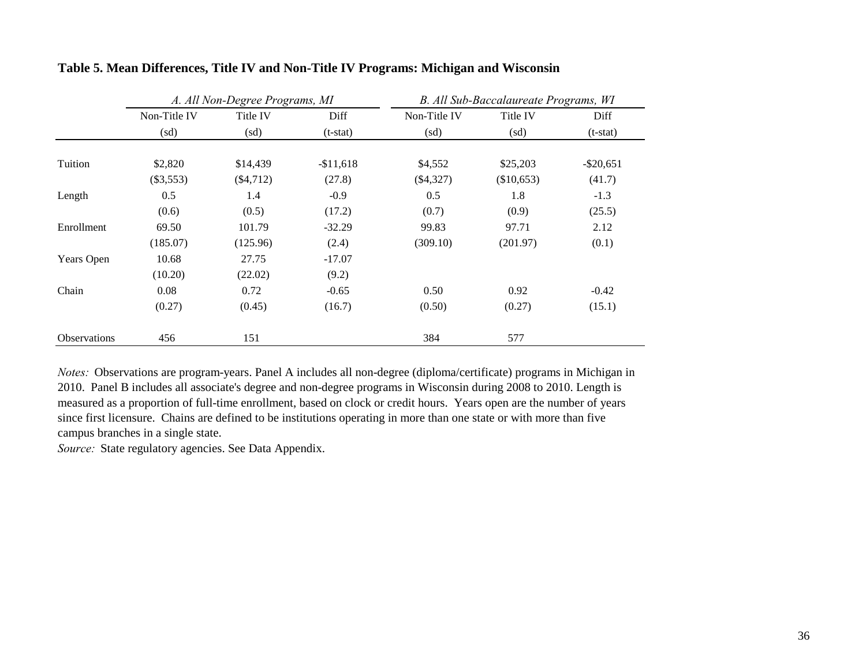|                     |              | A. All Non-Degree Programs, MI |            |              | B. All Sub-Baccalaureate Programs, WI |              |  |
|---------------------|--------------|--------------------------------|------------|--------------|---------------------------------------|--------------|--|
|                     | Non-Title IV | Title IV                       | Diff       | Non-Title IV | Title IV                              | Diff         |  |
|                     | (sd)         | (sd)                           | $(t-stat)$ | (sd)         | (sd)                                  | $(t-stat)$   |  |
| Tuition             | \$2,820      | \$14,439                       | $-$11,618$ | \$4,552      | \$25,203                              | $-$ \$20,651 |  |
|                     | $(\$3,553)$  | $(\$4,712)$                    | (27.8)     | $(\$4,327)$  | (\$10,653)                            | (41.7)       |  |
| Length              | 0.5          | 1.4                            | $-0.9$     | 0.5          | 1.8                                   | $-1.3$       |  |
|                     | (0.6)        | (0.5)                          | (17.2)     | (0.7)        | (0.9)                                 | (25.5)       |  |
| Enrollment          | 69.50        | 101.79                         | $-32.29$   | 99.83        | 97.71                                 | 2.12         |  |
|                     | (185.07)     | (125.96)                       | (2.4)      | (309.10)     | (201.97)                              | (0.1)        |  |
| <b>Years Open</b>   | 10.68        | 27.75                          | $-17.07$   |              |                                       |              |  |
|                     | (10.20)      | (22.02)                        | (9.2)      |              |                                       |              |  |
| Chain               | 0.08         | 0.72                           | $-0.65$    | 0.50         | 0.92                                  | $-0.42$      |  |
|                     | (0.27)       | (0.45)                         | (16.7)     | (0.50)       | (0.27)                                | (15.1)       |  |
| <b>Observations</b> | 456          | 151                            |            | 384          | 577                                   |              |  |

# **Table 5. Mean Differences, Title IV and Non-Title IV Programs: Michigan and Wisconsin**

*Notes:* Observations are program-years. Panel A includes all non-degree (diploma/certificate) programs in Michigan in 2010. Panel B includes all associate's degree and non-degree programs in Wisconsin during 2008 to 2010. Length is measured as a proportion of full-time enrollment, based on clock or credit hours. Years open are the number of years since first licensure. Chains are defined to be institutions operating in more than one state or with more than five campus branches in a single state.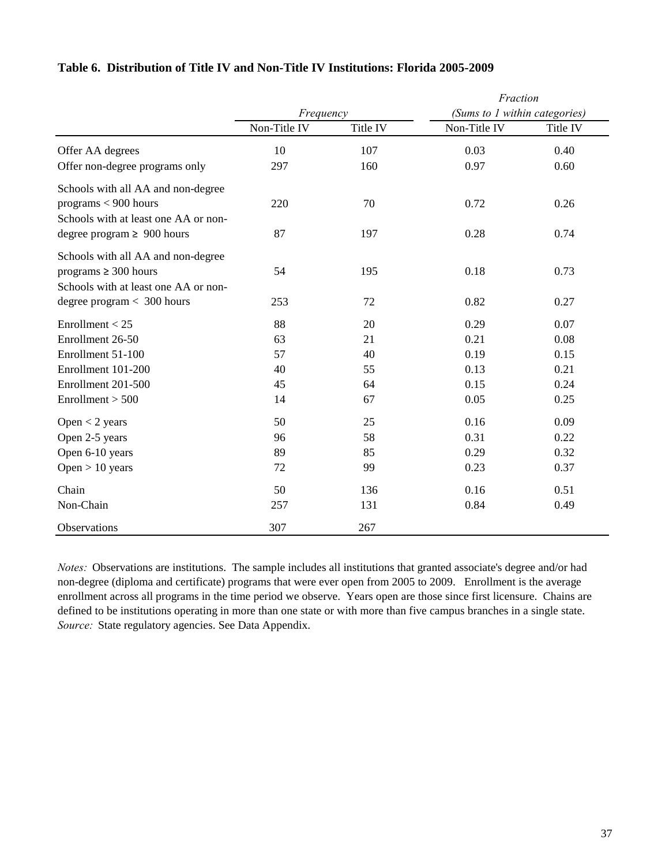|  |  |  |  |  | Table 6. Distribution of Title IV and Non-Title IV Institutions: Florida 2005-2009 |
|--|--|--|--|--|------------------------------------------------------------------------------------|
|--|--|--|--|--|------------------------------------------------------------------------------------|

|                                      |              |          | Fraction                      |          |  |  |
|--------------------------------------|--------------|----------|-------------------------------|----------|--|--|
|                                      | Frequency    |          | (Sums to 1 within categories) |          |  |  |
|                                      | Non-Title IV | Title IV | Non-Title IV                  | Title IV |  |  |
| Offer AA degrees                     | 10           | 107      | 0.03                          | 0.40     |  |  |
| Offer non-degree programs only       | 297          | 160      | 0.97                          | 0.60     |  |  |
| Schools with all AA and non-degree   |              |          |                               |          |  |  |
| programs $< 900$ hours               | 220          | 70       | 0.72                          | 0.26     |  |  |
| Schools with at least one AA or non- |              |          |                               |          |  |  |
| degree program $\geq 900$ hours      | 87           | 197      | 0.28                          | 0.74     |  |  |
| Schools with all AA and non-degree   |              |          |                               |          |  |  |
| programs $\geq 300$ hours            | 54           | 195      | 0.18                          | 0.73     |  |  |
| Schools with at least one AA or non- |              |          |                               |          |  |  |
| degree $program < 300 hours$         | 253          | 72       | 0.82                          | 0.27     |  |  |
| Enrollment $<$ 25                    | 88           | 20       | 0.29                          | 0.07     |  |  |
| Enrollment 26-50                     | 63           | 21       | 0.21                          | 0.08     |  |  |
| Enrollment 51-100                    | 57           | 40       | 0.19                          | 0.15     |  |  |
| Enrollment 101-200                   | 40           | 55       | 0.13                          | 0.21     |  |  |
| Enrollment 201-500                   | 45           | 64       | 0.15                          | 0.24     |  |  |
| Enrollment > 500                     | 14           | 67       | 0.05                          | 0.25     |  |  |
| Open $<$ 2 years                     | 50           | 25       | 0.16                          | 0.09     |  |  |
| Open 2-5 years                       | 96           | 58       | 0.31                          | 0.22     |  |  |
| Open 6-10 years                      | 89           | 85       | 0.29                          | 0.32     |  |  |
| Open $> 10$ years                    | 72           | 99       | 0.23                          | 0.37     |  |  |
| Chain                                | 50           | 136      | 0.16                          | 0.51     |  |  |
| Non-Chain                            | 257          | 131      | 0.84                          | 0.49     |  |  |
| Observations                         | 307          | 267      |                               |          |  |  |

*Source:* State regulatory agencies. See Data Appendix. *Notes:* Observations are institutions. The sample includes all institutions that granted associate's degree and/or had non-degree (diploma and certificate) programs that were ever open from 2005 to 2009. Enrollment is the average enrollment across all programs in the time period we observe. Years open are those since first licensure. Chains are defined to be institutions operating in more than one state or with more than five campus branches in a single state.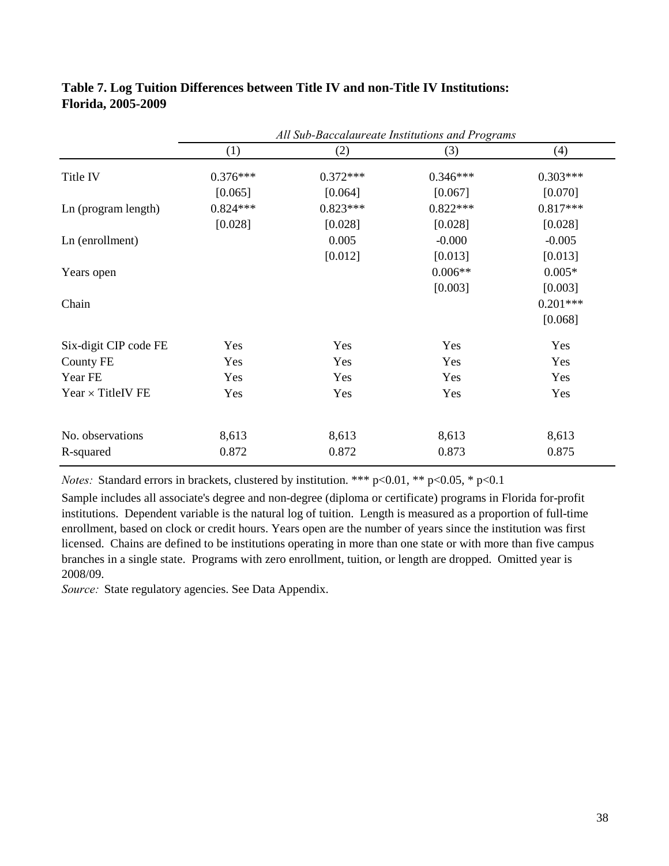|                          | All Sub-Baccalaureate Institutions and Programs |            |            |            |
|--------------------------|-------------------------------------------------|------------|------------|------------|
|                          | (1)                                             | (2)        | (3)        | (4)        |
| Title IV                 | $0.376***$                                      | $0.372***$ | $0.346***$ | $0.303***$ |
|                          | [0.065]                                         | [0.064]    | [0.067]    | [0.070]    |
| Ln (program length)      | $0.824***$                                      | $0.823***$ | $0.822***$ | $0.817***$ |
|                          | [0.028]                                         | [0.028]    | [0.028]    | [0.028]    |
| Ln (enrollment)          |                                                 | 0.005      | $-0.000$   | $-0.005$   |
|                          |                                                 | [0.012]    | [0.013]    | [0.013]    |
| Years open               |                                                 |            | $0.006**$  | $0.005*$   |
|                          |                                                 |            | [0.003]    | [0.003]    |
| Chain                    |                                                 |            |            | $0.201***$ |
|                          |                                                 |            |            | [0.068]    |
| Six-digit CIP code FE    | Yes                                             | Yes        | Yes        | Yes        |
| <b>County FE</b>         | Yes                                             | Yes        | Yes        | Yes        |
| Year FE                  | Yes                                             | Yes        | Yes        | Yes        |
| Year $\times$ TitleIV FE | Yes                                             | Yes        | Yes        | Yes        |
| No. observations         | 8,613                                           | 8,613      | 8,613      | 8,613      |
| R-squared                | 0.872                                           | 0.872      | 0.873      | 0.875      |

# **Table 7. Log Tuition Differences between Title IV and non-Title IV Institutions: Florida, 2005-2009**

*Notes:* Standard errors in brackets, clustered by institution. \*\*\* p<0.01, \*\* p<0.05, \* p<0.1

Sample includes all associate's degree and non-degree (diploma or certificate) programs in Florida for-profit institutions. Dependent variable is the natural log of tuition. Length is measured as a proportion of full-time enrollment, based on clock or credit hours. Years open are the number of years since the institution was first licensed. Chains are defined to be institutions operating in more than one state or with more than five campus branches in a single state. Programs with zero enrollment, tuition, or length are dropped. Omitted year is 2008/09.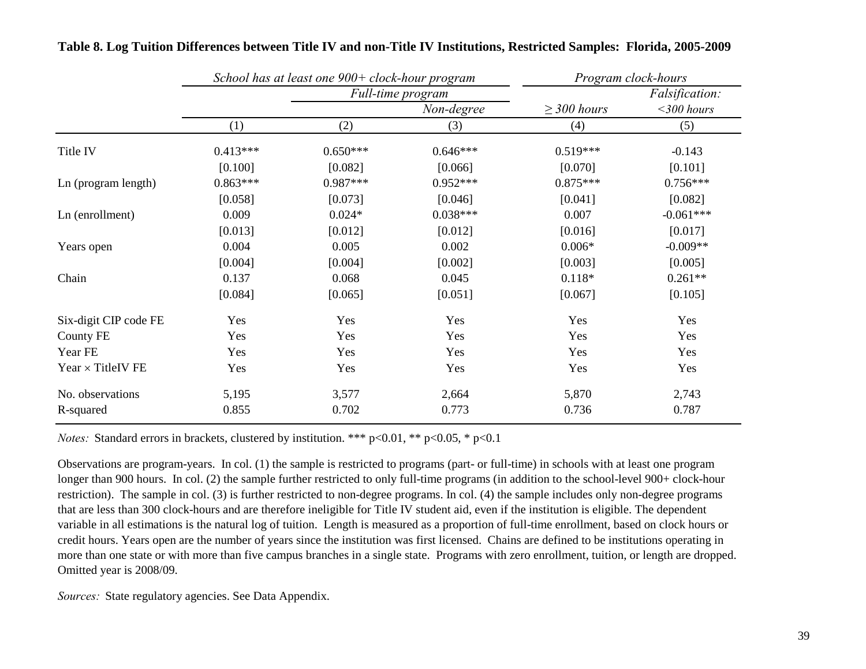|                       |            | School has at least one 900+ clock-hour program |                   | Program clock-hours |                |  |
|-----------------------|------------|-------------------------------------------------|-------------------|---------------------|----------------|--|
|                       |            |                                                 | Full-time program |                     | Falsification: |  |
|                       |            |                                                 | Non-degree        | $\geq$ 300 hours    | $<$ 300 hours  |  |
|                       | (1)        | (2)                                             | (3)               | (4)                 | (5)            |  |
| Title IV              | $0.413***$ | $0.650***$                                      | $0.646***$        | $0.519***$          | $-0.143$       |  |
|                       | [0.100]    | [0.082]                                         | [0.066]           | [0.070]             | [0.101]        |  |
| Ln (program length)   | $0.863***$ | $0.987***$                                      | $0.952***$        | $0.875***$          | $0.756***$     |  |
|                       | [0.058]    | [0.073]                                         | [0.046]           | [0.041]             | [0.082]        |  |
| Ln (enrollment)       | 0.009      | $0.024*$                                        | $0.038***$        | 0.007               | $-0.061***$    |  |
|                       | [0.013]    | [0.012]                                         | [0.012]           | [0.016]             | [0.017]        |  |
| Years open            | 0.004      | 0.005                                           | 0.002             | $0.006*$            | $-0.009**$     |  |
|                       | [0.004]    | [0.004]                                         | [0.002]           | [0.003]             | [0.005]        |  |
| Chain                 | 0.137      | 0.068                                           | 0.045             | $0.118*$            | $0.261**$      |  |
|                       | [0.084]    | [0.065]                                         | [0.051]           | [0.067]             | [0.105]        |  |
| Six-digit CIP code FE | Yes        | Yes                                             | Yes               | Yes                 | Yes            |  |
| <b>County FE</b>      | Yes        | Yes                                             | Yes               | Yes                 | Yes            |  |
| Year FE               | Yes        | Yes                                             | Yes               | Yes                 | Yes            |  |
| Year × TitleIV FE     | Yes        | Yes                                             | Yes               | Yes                 | Yes            |  |
| No. observations      | 5,195      | 3,577                                           | 2,664             | 5,870               | 2,743          |  |
| R-squared             | 0.855      | 0.702                                           | 0.773             | 0.736               | 0.787          |  |

# **Table 8. Log Tuition Differences between Title IV and non-Title IV Institutions, Restricted Samples: Florida, 2005-2009**

*Notes:* Standard errors in brackets, clustered by institution. \*\*\* p<0.01, \*\* p<0.05, \* p<0.1

Observations are program-years. In col. (1) the sample is restricted to programs (part- or full-time) in schools with at least one program longer than 900 hours. In col. (2) the sample further restricted to only full-time programs (in addition to the school-level 900+ clock-hour restriction). The sample in col. (3) is further restricted to non-degree programs. In col. (4) the sample includes only non-degree programs that are less than 300 clock-hours and are therefore ineligible for Title IV student aid, even if the institution is eligible. The dependent variable in all estimations is the natural log of tuition. Length is measured as a proportion of full-time enrollment, based on clock hours or credit hours. Years open are the number of years since the institution was first licensed. Chains are defined to be institutions operating in more than one state or with more than five campus branches in a single state. Programs with zero enrollment, tuition, or length are dropped. Omitted year is 2008/09.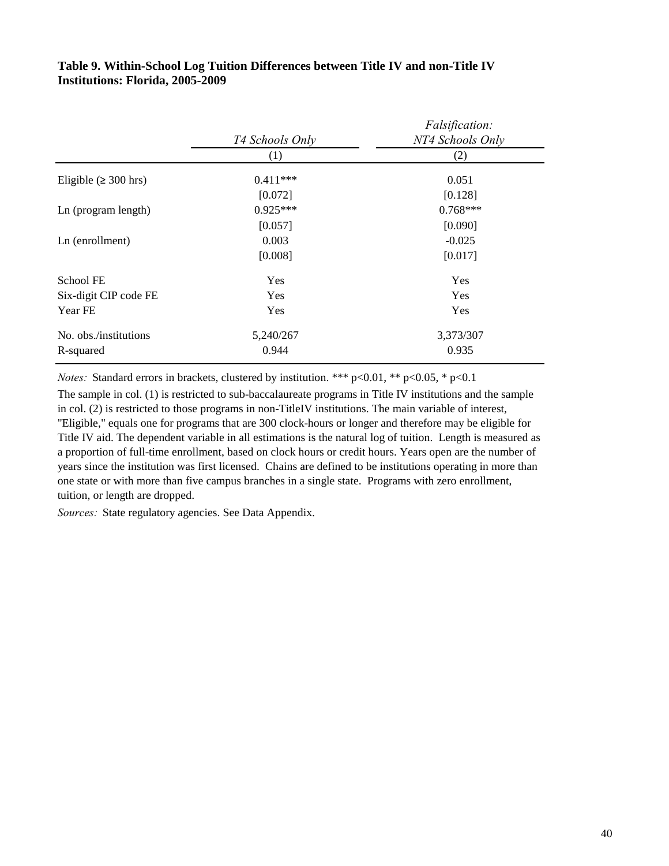|                            | T4 Schools Only | Falsification:<br>NT4 Schools Only |
|----------------------------|-----------------|------------------------------------|
|                            | (1)             | (2)                                |
| Eligible ( $\geq 300$ hrs) | $0.411***$      | 0.051                              |
|                            | [0.072]         | [0.128]                            |
| Ln (program length)        | $0.925***$      | $0.768***$                         |
|                            | [0.057]         | [0.090]                            |
| Ln (enrollment)            | 0.003           | $-0.025$                           |
|                            | [0.008]         | [0.017]                            |
| School FE                  | Yes             | Yes                                |
| Six-digit CIP code FE      | Yes             | Yes                                |
| Year FE                    | Yes             | Yes                                |
| No. obs./institutions      | 5,240/267       | 3,373/307                          |
| R-squared                  | 0.944           | 0.935                              |

# **Institutions: Florida, 2005-2009 Table 9. Within-School Log Tuition Differences between Title IV and non-Title IV**

*Notes:* Standard errors in brackets, clustered by institution. \*\*\* p<0.01, \*\* p<0.05, \* p<0.1

The sample in col. (1) is restricted to sub-baccalaureate programs in Title IV institutions and the sample in col. (2) is restricted to those programs in non-TitleIV institutions. The main variable of interest, "Eligible," equals one for programs that are 300 clock-hours or longer and therefore may be eligible for Title IV aid. The dependent variable in all estimations is the natural log of tuition. Length is measured as a proportion of full-time enrollment, based on clock hours or credit hours. Years open are the number of years since the institution was first licensed. Chains are defined to be institutions operating in more than one state or with more than five campus branches in a single state. Programs with zero enrollment, tuition, or length are dropped.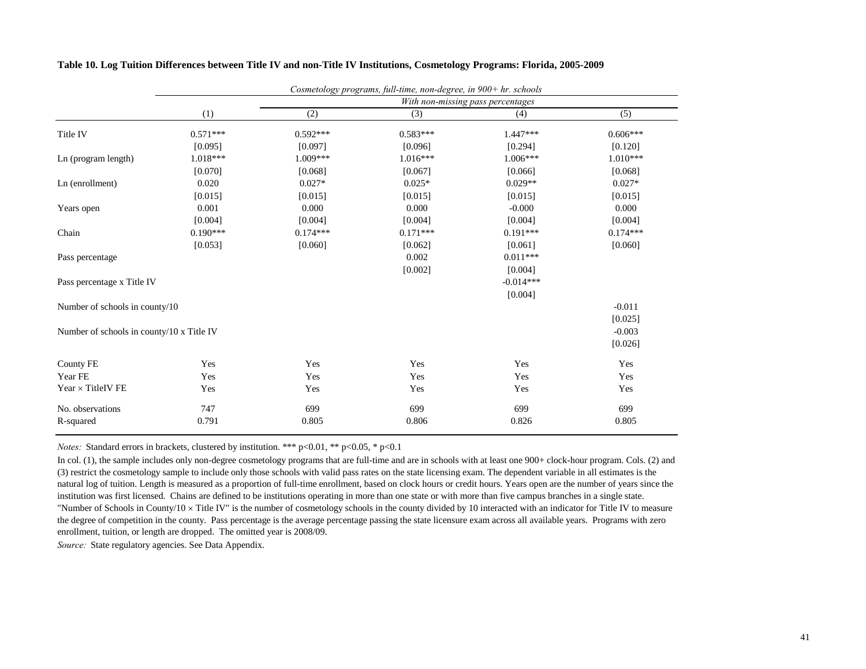|                                           |            |            | Cosmetology programs, full-time, non-degree, in 900+ hr. schools |                                   |            |
|-------------------------------------------|------------|------------|------------------------------------------------------------------|-----------------------------------|------------|
|                                           |            |            |                                                                  | With non-missing pass percentages |            |
|                                           | (1)        | (2)        | (3)                                                              | (4)                               | (5)        |
| Title IV                                  | $0.571***$ | $0.592***$ | $0.583***$                                                       | $1.447***$                        | $0.606***$ |
|                                           | [0.095]    | [0.097]    | [0.096]                                                          | [0.294]                           | [0.120]    |
| Ln (program length)                       | $1.018***$ | $1.009***$ | $1.016***$                                                       | $1.006***$                        | $1.010***$ |
|                                           | [0.070]    | [0.068]    | [0.067]                                                          | [0.066]                           | [0.068]    |
| Ln (enrollment)                           | 0.020      | $0.027*$   | $0.025*$                                                         | $0.029**$                         | $0.027*$   |
|                                           | [0.015]    | [0.015]    | [0.015]                                                          | [0.015]                           | [0.015]    |
| Years open                                | 0.001      | 0.000      | 0.000                                                            | $-0.000$                          | 0.000      |
|                                           | [0.004]    | [0.004]    | [0.004]                                                          | [0.004]                           | [0.004]    |
| Chain                                     | $0.190***$ | $0.174***$ | $0.171***$                                                       | $0.191***$                        | $0.174***$ |
|                                           | [0.053]    | [0.060]    | [0.062]                                                          | [0.061]                           | [0.060]    |
| Pass percentage                           |            |            | 0.002                                                            | $0.011***$                        |            |
|                                           |            |            | [0.002]                                                          | [0.004]                           |            |
| Pass percentage x Title IV                |            |            |                                                                  | $-0.014***$                       |            |
|                                           |            |            |                                                                  | [0.004]                           |            |
| Number of schools in county/10            |            |            |                                                                  |                                   | $-0.011$   |
|                                           |            |            |                                                                  |                                   | [0.025]    |
| Number of schools in county/10 x Title IV |            |            |                                                                  |                                   | $-0.003$   |
|                                           |            |            |                                                                  |                                   | [0.026]    |
| <b>County FE</b>                          | Yes        | Yes        | Yes                                                              | Yes                               | Yes        |
| Year FE                                   | Yes        | Yes        | Yes                                                              | Yes                               | Yes        |
| Year $\times$ TitleIV FE                  | Yes        | Yes        | Yes                                                              | Yes                               | Yes        |
| No. observations                          | 747        | 699        | 699                                                              | 699                               | 699        |
| R-squared                                 | 0.791      | 0.805      | 0.806                                                            | 0.826                             | 0.805      |

#### **Table 10. Log Tuition Differences between Title IV and non-Title IV Institutions, Cosmetology Programs: Florida, 2005-2009**

*Notes:* Standard errors in brackets, clustered by institution. \*\*\* p<0.01, \*\* p<0.05, \* p<0.1

In col. (1), the sample includes only non-degree cosmetology programs that are full-time and are in schools with at least one 900+ clock-hour program. Cols. (2) and (3) restrict the cosmetology sample to include only those schools with valid pass rates on the state licensing exam. The dependent variable in all estimates is the natural log of tuition. Length is measured as a proportion of full-time enrollment, based on clock hours or credit hours. Years open are the number of years since the institution was first licensed. Chains are defined to be institutions operating in more than one state or with more than five campus branches in a single state. "Number of Schools in County/10 × Title IV" is the number of cosmetology schools in the county divided by 10 interacted with an indicator for Title IV to measure the degree of competition in the county. Pass percentage is the average percentage passing the state licensure exam across all available years. Programs with zero enrollment, tuition, or length are dropped. The omitted year is 2008/09.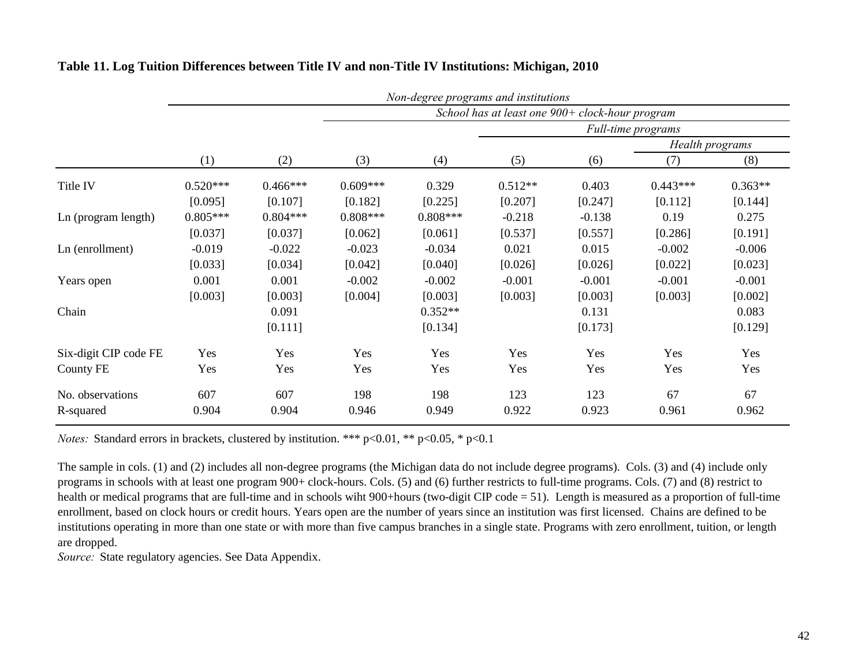|                       | Non-degree programs and institutions |            |            |                                                 |           |          |                    |           |  |  |
|-----------------------|--------------------------------------|------------|------------|-------------------------------------------------|-----------|----------|--------------------|-----------|--|--|
|                       |                                      |            |            | School has at least one 900+ clock-hour program |           |          |                    |           |  |  |
|                       |                                      |            |            |                                                 |           |          | Full-time programs |           |  |  |
|                       |                                      |            |            |                                                 |           |          | Health programs    |           |  |  |
|                       | (1)                                  | (2)        | (3)        | (4)                                             | (5)       | (6)      | (7)                | (8)       |  |  |
| Title IV              | $0.520***$                           | $0.466***$ | $0.609***$ | 0.329                                           | $0.512**$ | 0.403    | $0.443***$         | $0.363**$ |  |  |
|                       | [0.095]                              | [0.107]    | [0.182]    | [0.225]                                         | [0.207]   | [0.247]  | [0.112]            | [0.144]   |  |  |
| Ln (program length)   | $0.805***$                           | $0.804***$ | $0.808***$ | $0.808***$                                      | $-0.218$  | $-0.138$ | 0.19               | 0.275     |  |  |
|                       | [0.037]                              | [0.037]    | [0.062]    | [0.061]                                         | [0.537]   | [0.557]  | [0.286]            | [0.191]   |  |  |
| Ln (enrollment)       | $-0.019$                             | $-0.022$   | $-0.023$   | $-0.034$                                        | 0.021     | 0.015    | $-0.002$           | $-0.006$  |  |  |
|                       | [0.033]                              | [0.034]    | [0.042]    | [0.040]                                         | [0.026]   | [0.026]  | [0.022]            | [0.023]   |  |  |
| Years open            | 0.001                                | 0.001      | $-0.002$   | $-0.002$                                        | $-0.001$  | $-0.001$ | $-0.001$           | $-0.001$  |  |  |
|                       | [0.003]                              | [0.003]    | [0.004]    | [0.003]                                         | [0.003]   | [0.003]  | [0.003]            | [0.002]   |  |  |
| Chain                 |                                      | 0.091      |            | $0.352**$                                       |           | 0.131    |                    | 0.083     |  |  |
|                       |                                      | [0.111]    |            | [0.134]                                         |           | [0.173]  |                    | [0.129]   |  |  |
| Six-digit CIP code FE | Yes                                  | Yes        | Yes        | Yes                                             | Yes       | Yes      | Yes                | Yes       |  |  |
| <b>County FE</b>      | Yes                                  | Yes        | Yes        | Yes                                             | Yes       | Yes      | Yes                | Yes       |  |  |
| No. observations      | 607                                  | 607        | 198        | 198                                             | 123       | 123      | 67                 | 67        |  |  |
| R-squared             | 0.904                                | 0.904      | 0.946      | 0.949                                           | 0.922     | 0.923    | 0.961              | 0.962     |  |  |

# **Table 11. Log Tuition Differences between Title IV and non-Title IV Institutions: Michigan, 2010**

*Notes:* Standard errors in brackets, clustered by institution. \*\*\* p<0.01, \*\* p<0.05, \* p<0.1

The sample in cols. (1) and (2) includes all non-degree programs (the Michigan data do not include degree programs). Cols. (3) and (4) include only programs in schools with at least one program 900+ clock-hours. Cols. (5) and (6) further restricts to full-time programs. Cols. (7) and (8) restrict to health or medical programs that are full-time and in schools wiht 900+hours (two-digit CIP code = 51). Length is measured as a proportion of full-time enrollment, based on clock hours or credit hours. Years open are the number of years since an institution was first licensed. Chains are defined to be institutions operating in more than one state or with more than five campus branches in a single state. Programs with zero enrollment, tuition, or length are dropped.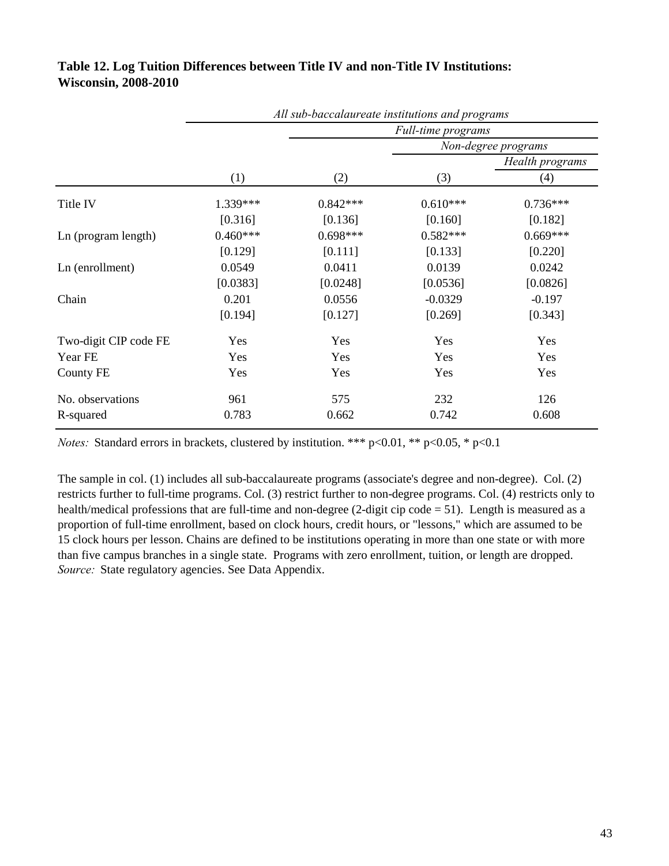|                       | All sub-baccalaureate institutions and programs |            |            |                     |  |  |
|-----------------------|-------------------------------------------------|------------|------------|---------------------|--|--|
|                       | Full-time programs                              |            |            |                     |  |  |
|                       |                                                 |            |            | Non-degree programs |  |  |
|                       |                                                 |            |            | Health programs     |  |  |
|                       | (1)                                             | (2)        | (3)        | (4)                 |  |  |
| Title IV              | 1.339***                                        | $0.842***$ | $0.610***$ | $0.736***$          |  |  |
|                       | [0.316]                                         | [0.136]    | [0.160]    | [0.182]             |  |  |
| Ln (program length)   | $0.460***$                                      | $0.698***$ | $0.582***$ | $0.669***$          |  |  |
|                       | [0.129]                                         | [0.111]    | [0.133]    | [0.220]             |  |  |
| Ln (enrollment)       | 0.0549                                          | 0.0411     | 0.0139     | 0.0242              |  |  |
|                       | [0.0383]                                        | [0.0248]   | [0.0536]   | [0.0826]            |  |  |
| Chain                 | 0.201                                           | 0.0556     | $-0.0329$  | $-0.197$            |  |  |
|                       | [0.194]                                         | [0.127]    | [0.269]    | [0.343]             |  |  |
| Two-digit CIP code FE | Yes                                             | Yes        | Yes        | Yes                 |  |  |
| Year FE               | Yes                                             | Yes        | Yes        | Yes                 |  |  |
| County FE             | Yes                                             | Yes        | Yes        | Yes                 |  |  |
| No. observations      | 961                                             | 575        | 232        | 126                 |  |  |
| R-squared             | 0.783                                           | 0.662      | 0.742      | 0.608               |  |  |

# **Table 12. Log Tuition Differences between Title IV and non-Title IV Institutions: Wisconsin, 2008-2010**

*Notes:* Standard errors in brackets, clustered by institution. \*\*\* p<0.01, \*\* p<0.05, \* p<0.1

*Source:* State regulatory agencies. See Data Appendix. The sample in col. (1) includes all sub-baccalaureate programs (associate's degree and non-degree). Col. (2) restricts further to full-time programs. Col. (3) restrict further to non-degree programs. Col. (4) restricts only to health/medical professions that are full-time and non-degree (2-digit cip code = 51). Length is measured as a proportion of full-time enrollment, based on clock hours, credit hours, or "lessons," which are assumed to be 15 clock hours per lesson. Chains are defined to be institutions operating in more than one state or with more than five campus branches in a single state. Programs with zero enrollment, tuition, or length are dropped.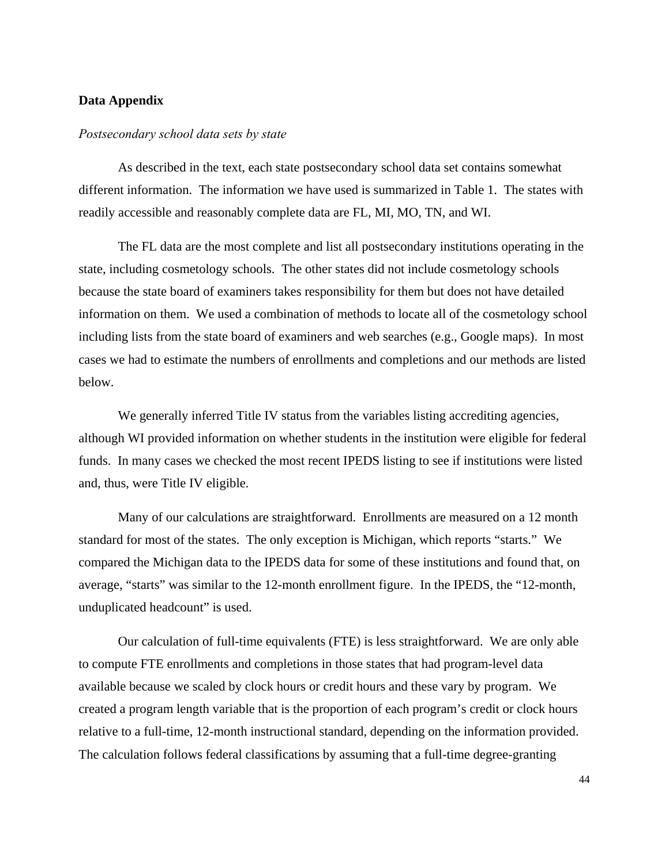#### **Data Appendix**

### *Postsecondary school data sets by state*

As described in the text, each state postsecondary school data set contains somewhat different information. The information we have used is summarized in Table 1. The states with readily accessible and reasonably complete data are FL, MI, MO, TN, and WI.

The FL data are the most complete and list all postsecondary institutions operating in the state, including cosmetology schools. The other states did not include cosmetology schools because the state board of examiners takes responsibility for them but does not have detailed information on them. We used a combination of methods to locate all of the cosmetology school including lists from the state board of examiners and web searches (e.g., Google maps). In most cases we had to estimate the numbers of enrollments and completions and our methods are listed below.

We generally inferred Title IV status from the variables listing accrediting agencies, although WI provided information on whether students in the institution were eligible for federal funds. In many cases we checked the most recent IPEDS listing to see if institutions were listed and, thus, were Title IV eligible.

Many of our calculations are straightforward. Enrollments are measured on a 12 month standard for most of the states. The only exception is Michigan, which reports "starts." We compared the Michigan data to the IPEDS data for some of these institutions and found that, on average, "starts" was similar to the 12-month enrollment figure. In the IPEDS, the "12-month, unduplicated headcount" is used.

Our calculation of full-time equivalents (FTE) is less straightforward. We are only able to compute FTE enrollments and completions in those states that had program-level data available because we scaled by clock hours or credit hours and these vary by program. We created a program length variable that is the proportion of each program's credit or clock hours relative to a full-time, 12-month instructional standard, depending on the information provided. The calculation follows federal classifications by assuming that a full-time degree-granting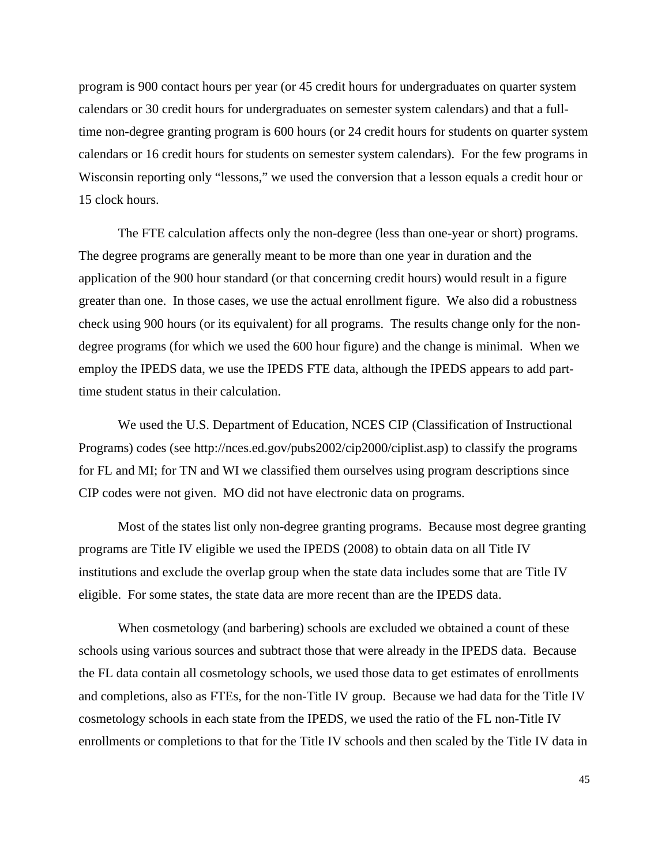program is 900 contact hours per year (or 45 credit hours for undergraduates on quarter system calendars or 30 credit hours for undergraduates on semester system calendars) and that a fulltime non-degree granting program is 600 hours (or 24 credit hours for students on quarter system calendars or 16 credit hours for students on semester system calendars). For the few programs in Wisconsin reporting only "lessons," we used the conversion that a lesson equals a credit hour or 15 clock hours.

The FTE calculation affects only the non-degree (less than one-year or short) programs. The degree programs are generally meant to be more than one year in duration and the application of the 900 hour standard (or that concerning credit hours) would result in a figure greater than one. In those cases, we use the actual enrollment figure. We also did a robustness check using 900 hours (or its equivalent) for all programs. The results change only for the nondegree programs (for which we used the 600 hour figure) and the change is minimal. When we employ the IPEDS data, we use the IPEDS FTE data, although the IPEDS appears to add parttime student status in their calculation.

 We used the U.S. Department of Education, NCES CIP (Classification of Instructional Programs) codes (see http://nces.ed.gov/pubs2002/cip2000/ciplist.asp) to classify the programs for FL and MI; for TN and WI we classified them ourselves using program descriptions since CIP codes were not given. MO did not have electronic data on programs.

Most of the states list only non-degree granting programs. Because most degree granting programs are Title IV eligible we used the IPEDS (2008) to obtain data on all Title IV institutions and exclude the overlap group when the state data includes some that are Title IV eligible. For some states, the state data are more recent than are the IPEDS data.

When cosmetology (and barbering) schools are excluded we obtained a count of these schools using various sources and subtract those that were already in the IPEDS data. Because the FL data contain all cosmetology schools, we used those data to get estimates of enrollments and completions, also as FTEs, for the non-Title IV group. Because we had data for the Title IV cosmetology schools in each state from the IPEDS, we used the ratio of the FL non-Title IV enrollments or completions to that for the Title IV schools and then scaled by the Title IV data in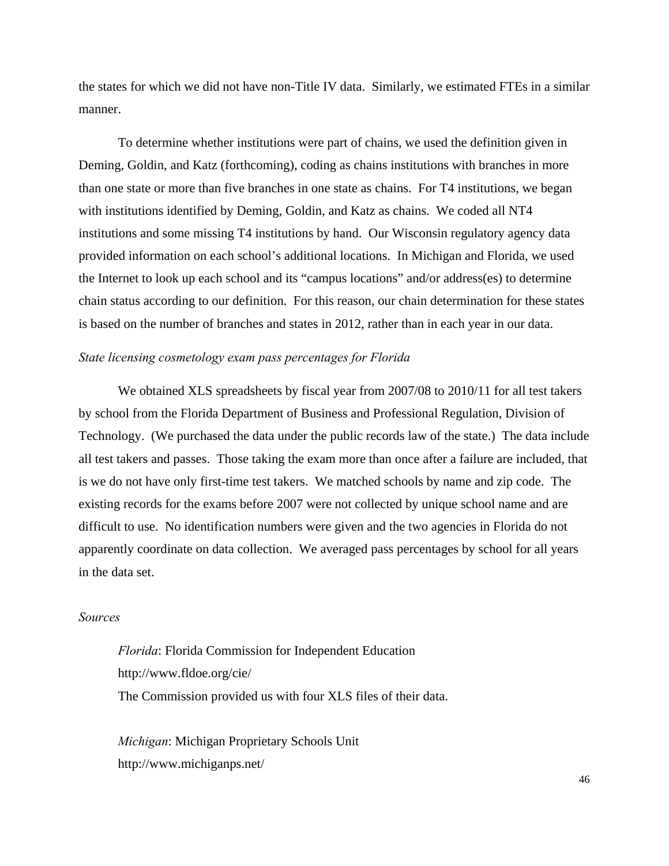the states for which we did not have non-Title IV data. Similarly, we estimated FTEs in a similar manner.

To determine whether institutions were part of chains, we used the definition given in Deming, Goldin, and Katz (forthcoming), coding as chains institutions with branches in more than one state or more than five branches in one state as chains. For T4 institutions, we began with institutions identified by Deming, Goldin, and Katz as chains. We coded all NT4 institutions and some missing T4 institutions by hand. Our Wisconsin regulatory agency data provided information on each school's additional locations. In Michigan and Florida, we used the Internet to look up each school and its "campus locations" and/or address(es) to determine chain status according to our definition. For this reason, our chain determination for these states is based on the number of branches and states in 2012, rather than in each year in our data.

# *State licensing cosmetology exam pass percentages for Florida*

We obtained XLS spreadsheets by fiscal year from 2007/08 to 2010/11 for all test takers by school from the Florida Department of Business and Professional Regulation, Division of Technology. (We purchased the data under the public records law of the state.) The data include all test takers and passes. Those taking the exam more than once after a failure are included, that is we do not have only first-time test takers. We matched schools by name and zip code. The existing records for the exams before 2007 were not collected by unique school name and are difficult to use. No identification numbers were given and the two agencies in Florida do not apparently coordinate on data collection. We averaged pass percentages by school for all years in the data set.

## *Sources*

*Florida*: Florida Commission for Independent Education http://www.fldoe.org/cie/ The Commission provided us with four XLS files of their data.

*Michigan*: Michigan Proprietary Schools Unit http://www.michiganps.net/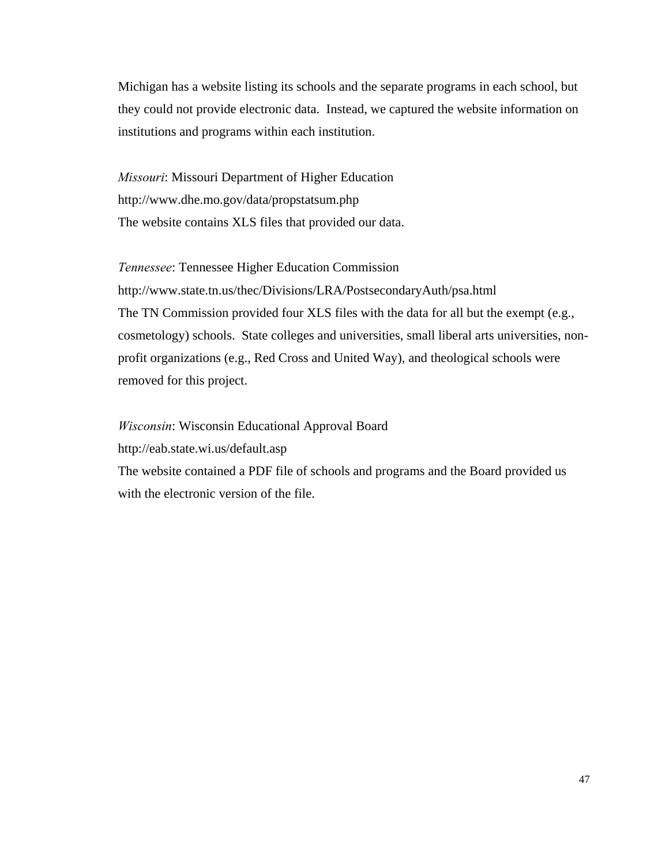Michigan has a website listing its schools and the separate programs in each school, but they could not provide electronic data. Instead, we captured the website information on institutions and programs within each institution.

*Missouri*: Missouri Department of Higher Education http://www.dhe.mo.gov/data/propstatsum.php The website contains XLS files that provided our data.

*Tennessee*: Tennessee Higher Education Commission http://www.state.tn.us/thec/Divisions/LRA/PostsecondaryAuth/psa.html The TN Commission provided four XLS files with the data for all but the exempt (e.g., cosmetology) schools. State colleges and universities, small liberal arts universities, nonprofit organizations (e.g., Red Cross and United Way), and theological schools were removed for this project.

*Wisconsin*: Wisconsin Educational Approval Board

http://eab.state.wi.us/default.asp

The website contained a PDF file of schools and programs and the Board provided us with the electronic version of the file.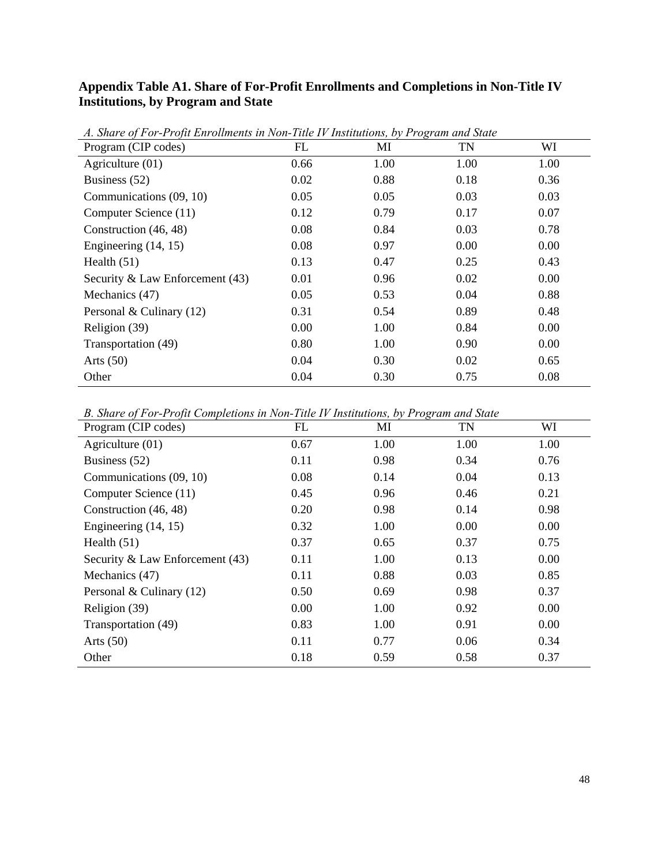# **Appendix Table A1. Share of For-Profit Enrollments and Completions in Non-Title IV Institutions, by Program and State**

| A. Share of For-Profit Enrouments in Non-Tute IV Institutions, by Program and State<br>Program (CIP codes) | FL   | MI   | TN   | WI   |
|------------------------------------------------------------------------------------------------------------|------|------|------|------|
| Agriculture $(01)$                                                                                         | 0.66 | 1.00 | 1.00 | 1.00 |
| Business (52)                                                                                              | 0.02 | 0.88 | 0.18 | 0.36 |
| Communications (09, 10)                                                                                    | 0.05 | 0.05 | 0.03 | 0.03 |
| Computer Science (11)                                                                                      | 0.12 | 0.79 | 0.17 | 0.07 |
| Construction (46, 48)                                                                                      | 0.08 | 0.84 | 0.03 | 0.78 |
| Engineering $(14, 15)$                                                                                     | 0.08 | 0.97 | 0.00 | 0.00 |
| Health $(51)$                                                                                              | 0.13 | 0.47 | 0.25 | 0.43 |
| Security & Law Enforcement (43)                                                                            | 0.01 | 0.96 | 0.02 | 0.00 |
| Mechanics (47)                                                                                             | 0.05 | 0.53 | 0.04 | 0.88 |
| Personal & Culinary (12)                                                                                   | 0.31 | 0.54 | 0.89 | 0.48 |
| Religion (39)                                                                                              | 0.00 | 1.00 | 0.84 | 0.00 |
| Transportation (49)                                                                                        | 0.80 | 1.00 | 0.90 | 0.00 |
| Arts $(50)$                                                                                                | 0.04 | 0.30 | 0.02 | 0.65 |
| Other                                                                                                      | 0.04 | 0.30 | 0.75 | 0.08 |

*A. Share of For-Profit Enrollments in Non-Title IV Institutions, by Program and State* 

*B. Share of For-Profit Completions in Non-Title IV Institutions, by Program and State* 

| Program (CIP codes)               | FL   | MI   | <b>TN</b> | WI   |
|-----------------------------------|------|------|-----------|------|
| Agriculture $(01)$                | 0.67 | 1.00 | 1.00      | 1.00 |
| Business (52)                     | 0.11 | 0.98 | 0.34      | 0.76 |
| Communications (09, 10)           | 0.08 | 0.14 | 0.04      | 0.13 |
| Computer Science (11)             | 0.45 | 0.96 | 0.46      | 0.21 |
| Construction (46, 48)             | 0.20 | 0.98 | 0.14      | 0.98 |
| Engineering $(14, 15)$            | 0.32 | 1.00 | 0.00      | 0.00 |
| Health $(51)$                     | 0.37 | 0.65 | 0.37      | 0.75 |
| Security & Law Enforcement $(43)$ | 0.11 | 1.00 | 0.13      | 0.00 |
| Mechanics (47)                    | 0.11 | 0.88 | 0.03      | 0.85 |
| Personal & Culinary $(12)$        | 0.50 | 0.69 | 0.98      | 0.37 |
| Religion (39)                     | 0.00 | 1.00 | 0.92      | 0.00 |
| Transportation (49)               | 0.83 | 1.00 | 0.91      | 0.00 |
| Arts $(50)$                       | 0.11 | 0.77 | 0.06      | 0.34 |
| Other                             | 0.18 | 0.59 | 0.58      | 0.37 |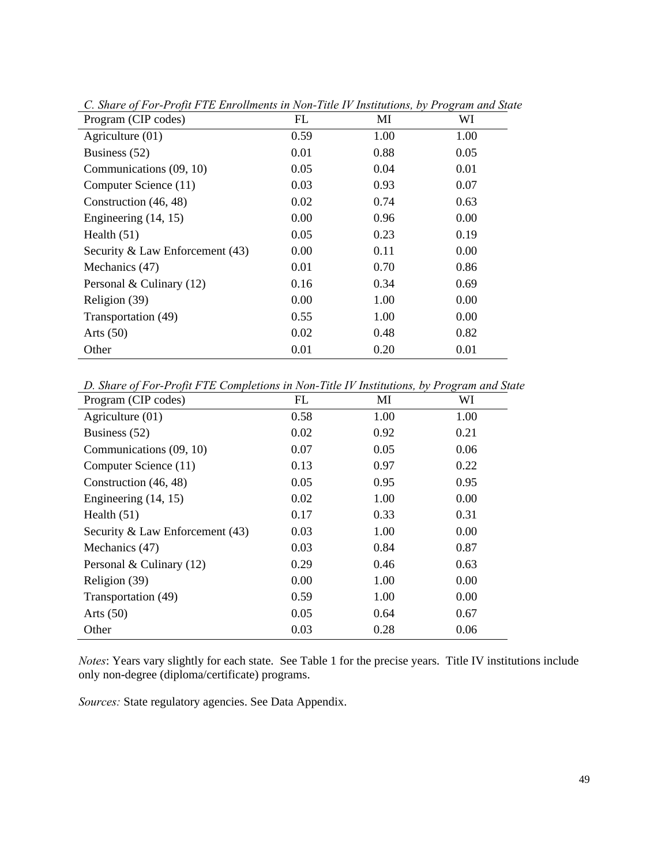| Program (CIP codes)               | FL   | MI   | WI   |
|-----------------------------------|------|------|------|
| Agriculture (01)                  | 0.59 | 1.00 | 1.00 |
| Business (52)                     | 0.01 | 0.88 | 0.05 |
| Communications (09, 10)           | 0.05 | 0.04 | 0.01 |
| Computer Science (11)             | 0.03 | 0.93 | 0.07 |
| Construction (46, 48)             | 0.02 | 0.74 | 0.63 |
| Engineering $(14, 15)$            | 0.00 | 0.96 | 0.00 |
| Health $(51)$                     | 0.05 | 0.23 | 0.19 |
| Security & Law Enforcement $(43)$ | 0.00 | 0.11 | 0.00 |
| Mechanics (47)                    | 0.01 | 0.70 | 0.86 |
| Personal & Culinary (12)          | 0.16 | 0.34 | 0.69 |
| Religion (39)                     | 0.00 | 1.00 | 0.00 |
| Transportation (49)               | 0.55 | 1.00 | 0.00 |
| Arts $(50)$                       | 0.02 | 0.48 | 0.82 |
| Other                             | 0.01 | 0.20 | 0.01 |

*C. Share of For-Profit FTE Enrollments in Non-Title IV Institutions, by Program and State* 

*D. Share of For-Profit FTE Completions in Non-Title IV Institutions, by Program and State* 

| Program (CIP codes)             | FL   | MI   | WI   |
|---------------------------------|------|------|------|
| Agriculture (01)                | 0.58 | 1.00 | 1.00 |
| Business (52)                   | 0.02 | 0.92 | 0.21 |
| Communications (09, 10)         | 0.07 | 0.05 | 0.06 |
| Computer Science (11)           | 0.13 | 0.97 | 0.22 |
| Construction (46, 48)           | 0.05 | 0.95 | 0.95 |
| Engineering $(14, 15)$          | 0.02 | 1.00 | 0.00 |
| Health $(51)$                   | 0.17 | 0.33 | 0.31 |
| Security & Law Enforcement (43) | 0.03 | 1.00 | 0.00 |
| Mechanics (47)                  | 0.03 | 0.84 | 0.87 |
| Personal & Culinary (12)        | 0.29 | 0.46 | 0.63 |
| Religion (39)                   | 0.00 | 1.00 | 0.00 |
| Transportation (49)             | 0.59 | 1.00 | 0.00 |
| Arts $(50)$                     | 0.05 | 0.64 | 0.67 |
| Other                           | 0.03 | 0.28 | 0.06 |

*Notes*: Years vary slightly for each state. See Table 1 for the precise years. Title IV institutions include only non-degree (diploma/certificate) programs.